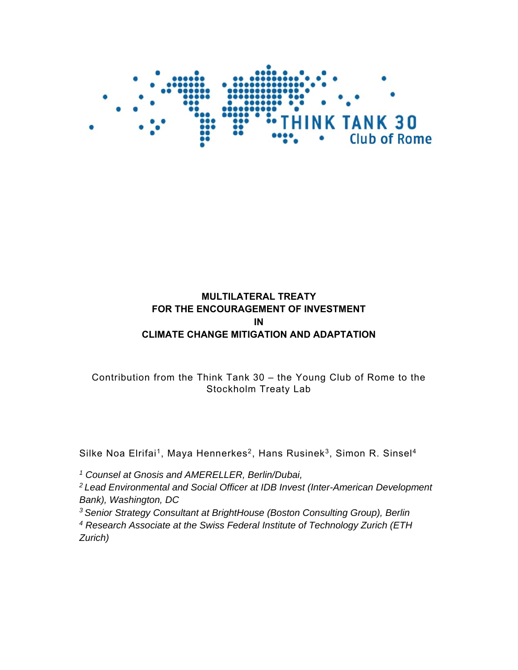

## **MULTILATERAL TREATY FOR THE ENCOURAGEMENT OF INVESTMENT IN CLIMATE CHANGE MITIGATION AND ADAPTATION**

# Contribution from the Think Tank 30 – the Young Club of Rome to the Stockholm Treaty Lab

Silke Noa Elrifai<sup>1</sup>, Maya Hennerkes<sup>2</sup>, Hans Rusinek<sup>3</sup>, Simon R. Sinsel<sup>4</sup>

*1 Counsel at Gnosis and AMERELLER, Berlin/Dubai,* 

*2 Lead Environmental and Social Officer at IDB Invest (Inter-American Development Bank), Washington, DC* 

*3 Senior Strategy Consultant at BrightHouse (Boston Consulting Group), Berlin* 

*4 Research Associate at the Swiss Federal Institute of Technology Zurich (ETH Zurich)*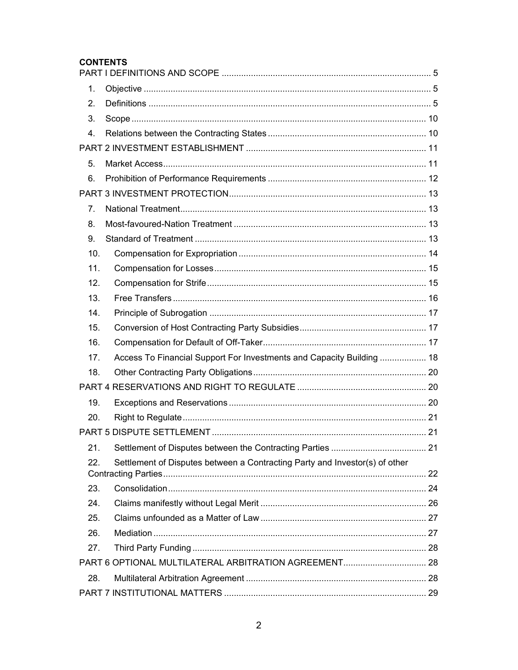### **CONTENTS**

| 1.             |                                                                             |  |
|----------------|-----------------------------------------------------------------------------|--|
| 2.             |                                                                             |  |
| 3.             |                                                                             |  |
| 4.             |                                                                             |  |
|                |                                                                             |  |
| 5.             |                                                                             |  |
| 6.             |                                                                             |  |
|                |                                                                             |  |
| 7 <sub>1</sub> |                                                                             |  |
| 8.             |                                                                             |  |
| 9.             |                                                                             |  |
| 10.            |                                                                             |  |
| 11.            |                                                                             |  |
| 12.            |                                                                             |  |
| 13.            |                                                                             |  |
| 14.            |                                                                             |  |
| 15.            |                                                                             |  |
| 16.            |                                                                             |  |
| 17.            | Access To Financial Support For Investments and Capacity Building  18       |  |
| 18.            |                                                                             |  |
|                |                                                                             |  |
| 19.            |                                                                             |  |
| 20.            |                                                                             |  |
|                |                                                                             |  |
| 21.            |                                                                             |  |
| 22.            | Settlement of Disputes between a Contracting Party and Investor(s) of other |  |
|                |                                                                             |  |
| 23.            |                                                                             |  |
| 24.            |                                                                             |  |
| 25.            |                                                                             |  |
| 26.            |                                                                             |  |
| 27.            |                                                                             |  |
|                | PART 6 OPTIONAL MULTILATERAL ARBITRATION AGREEMENT 28                       |  |
| 28.            |                                                                             |  |
|                |                                                                             |  |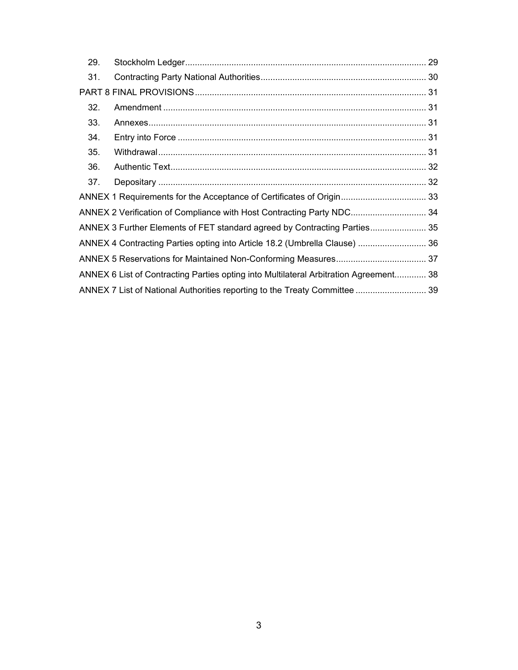| 29.                                                                   |                                                                                       |  |
|-----------------------------------------------------------------------|---------------------------------------------------------------------------------------|--|
| 31.                                                                   |                                                                                       |  |
|                                                                       |                                                                                       |  |
| 32.                                                                   |                                                                                       |  |
| 33.                                                                   |                                                                                       |  |
| 34.                                                                   |                                                                                       |  |
| 35.                                                                   |                                                                                       |  |
| 36.                                                                   |                                                                                       |  |
| 37.                                                                   |                                                                                       |  |
|                                                                       |                                                                                       |  |
| ANNEX 2 Verification of Compliance with Host Contracting Party NDC 34 |                                                                                       |  |
|                                                                       | ANNEX 3 Further Elements of FET standard agreed by Contracting Parties 35             |  |
|                                                                       | ANNEX 4 Contracting Parties opting into Article 18.2 (Umbrella Clause)  36            |  |
|                                                                       |                                                                                       |  |
|                                                                       | ANNEX 6 List of Contracting Parties opting into Multilateral Arbitration Agreement 38 |  |
|                                                                       | ANNEX 7 List of National Authorities reporting to the Treaty Committee  39            |  |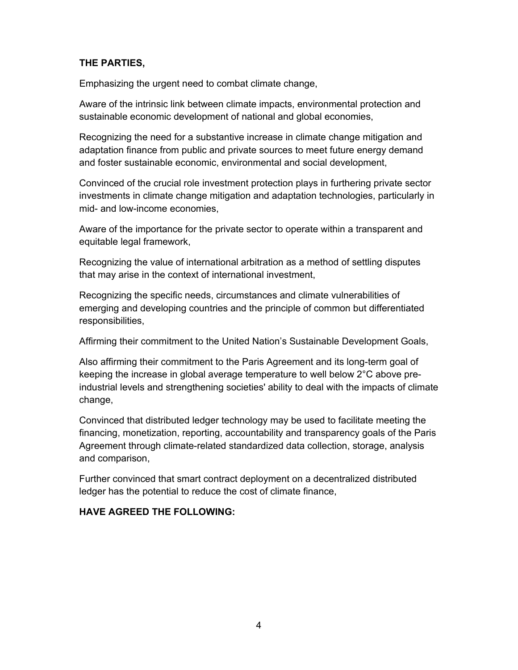## **THE PARTIES,**

Emphasizing the urgent need to combat climate change,

Aware of the intrinsic link between climate impacts, environmental protection and sustainable economic development of national and global economies,

Recognizing the need for a substantive increase in climate change mitigation and adaptation finance from public and private sources to meet future energy demand and foster sustainable economic, environmental and social development,

Convinced of the crucial role investment protection plays in furthering private sector investments in climate change mitigation and adaptation technologies, particularly in mid- and low-income economies,

Aware of the importance for the private sector to operate within a transparent and equitable legal framework,

Recognizing the value of international arbitration as a method of settling disputes that may arise in the context of international investment,

Recognizing the specific needs, circumstances and climate vulnerabilities of emerging and developing countries and the principle of common but differentiated responsibilities,

Affirming their commitment to the United Nation's Sustainable Development Goals,

Also affirming their commitment to the Paris Agreement and its long-term goal of keeping the increase in global average temperature to well below 2°C above preindustrial levels and strengthening societies' ability to deal with the impacts of climate change,

Convinced that distributed ledger technology may be used to facilitate meeting the financing, monetization, reporting, accountability and transparency goals of the Paris Agreement through climate-related standardized data collection, storage, analysis and comparison,

Further convinced that smart contract deployment on a decentralized distributed ledger has the potential to reduce the cost of climate finance,

## **HAVE AGREED THE FOLLOWING:**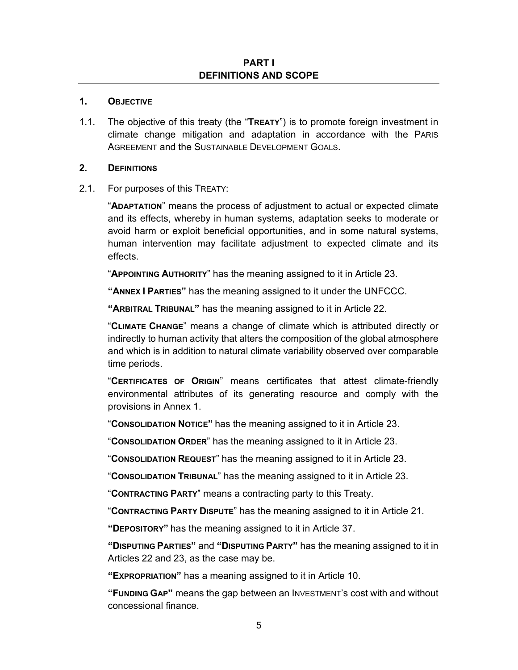#### **PART I DEFINITIONS AND SCOPE**

#### **1. OBJECTIVE**

1.1. The objective of this treaty (the "**TREATY**") is to promote foreign investment in climate change mitigation and adaptation in accordance with the PARIS AGREEMENT and the SUSTAINABLE DEVELOPMENT GOALS.

#### **2. DEFINITIONS**

2.1. For purposes of this TREATY:

"**ADAPTATION**" means the process of adjustment to actual or expected climate and its effects, whereby in human systems, adaptation seeks to moderate or avoid harm or exploit beneficial opportunities, and in some natural systems, human intervention may facilitate adjustment to expected climate and its effects.

"**APPOINTING AUTHORITY**" has the meaning assigned to it in Article 23.

**"ANNEX I PARTIES"** has the meaning assigned to it under the UNFCCC.

**"ARBITRAL TRIBUNAL"** has the meaning assigned to it in Article 22.

"**CLIMATE CHANGE**" means a change of climate which is attributed directly or indirectly to human activity that alters the composition of the global atmosphere and which is in addition to natural climate variability observed over comparable time periods.

"**CERTIFICATES OF ORIGIN**" means certificates that attest climate-friendly environmental attributes of its generating resource and comply with the provisions in Annex 1.

"**CONSOLIDATION NOTICE"** has the meaning assigned to it in Article 23.

"**CONSOLIDATION ORDER**" has the meaning assigned to it in Article 23.

"**CONSOLIDATION REQUEST**" has the meaning assigned to it in Article 23.

"**CONSOLIDATION TRIBUNAL**" has the meaning assigned to it in Article 23.

"**CONTRACTING PARTY**" means a contracting party to this Treaty.

"**CONTRACTING PARTY DISPUTE**" has the meaning assigned to it in Article 21.

**"DEPOSITORY"** has the meaning assigned to it in Article 37.

**"DISPUTING PARTIES"** and **"DISPUTING PARTY"** has the meaning assigned to it in Articles 22 and 23, as the case may be.

**"EXPROPRIATION"** has a meaning assigned to it in Article 10.

**"FUNDING GAP"** means the gap between an INVESTMENT's cost with and without concessional finance.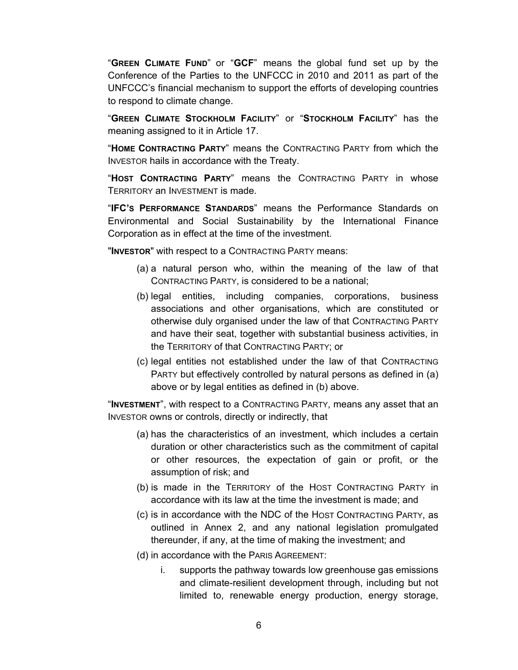"**GREEN CLIMATE FUND**" or "**GCF**" means the global fund set up by the Conference of the Parties to the UNFCCC in 2010 and 2011 as part of the UNFCCC's financial mechanism to support the efforts of developing countries to respond to climate change.

"**GREEN CLIMATE STOCKHOLM FACILITY**" or "**STOCKHOLM FACILITY**" has the meaning assigned to it in Article 17.

"**HOME CONTRACTING PARTY**" means the CONTRACTING PARTY from which the INVESTOR hails in accordance with the Treaty.

"**HOST CONTRACTING PARTY**" means the CONTRACTING PARTY in whose TERRITORY an INVESTMENT is made.

"**IFC'S PERFORMANCE STANDARDS**" means the Performance Standards on Environmental and Social Sustainability by the International Finance Corporation as in effect at the time of the investment.

"**INVESTOR**" with respect to a CONTRACTING PARTY means:

- (a) a natural person who, within the meaning of the law of that CONTRACTING PARTY, is considered to be a national;
- (b) legal entities, including companies, corporations, business associations and other organisations, which are constituted or otherwise duly organised under the law of that CONTRACTING PARTY and have their seat, together with substantial business activities, in the TERRITORY of that CONTRACTING PARTY; or
- (c) legal entities not established under the law of that CONTRACTING PARTY but effectively controlled by natural persons as defined in (a) above or by legal entities as defined in (b) above.

"**INVESTMENT**", with respect to a CONTRACTING PARTY, means any asset that an INVESTOR owns or controls, directly or indirectly, that

- (a) has the characteristics of an investment, which includes a certain duration or other characteristics such as the commitment of capital or other resources, the expectation of gain or profit, or the assumption of risk; and
- (b) is made in the TERRITORY of the HOST CONTRACTING PARTY in accordance with its law at the time the investment is made; and
- (c) is in accordance with the NDC of the HOST CONTRACTING PARTY, as outlined in Annex 2, and any national legislation promulgated thereunder, if any, at the time of making the investment; and
- (d) in accordance with the PARIS AGREEMENT:
	- i. supports the pathway towards low greenhouse gas emissions and climate-resilient development through, including but not limited to, renewable energy production, energy storage,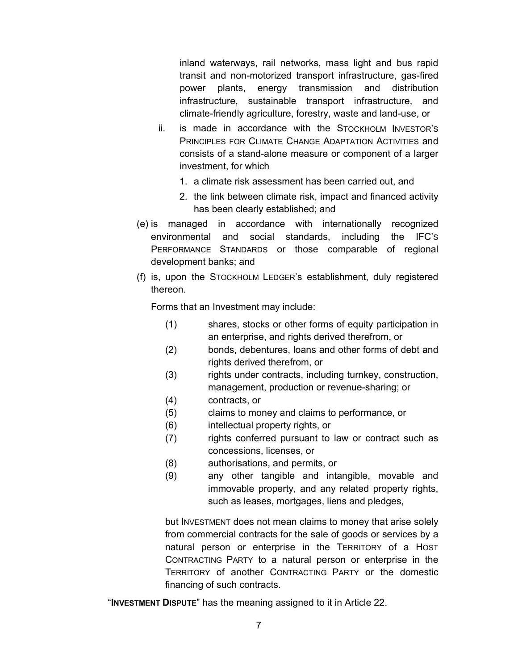inland waterways, rail networks, mass light and bus rapid transit and non-motorized transport infrastructure, gas-fired power plants, energy transmission and distribution infrastructure, sustainable transport infrastructure, and climate-friendly agriculture, forestry, waste and land-use, or

- ii. is made in accordance with the STOCKHOLM INVESTOR'S PRINCIPLES FOR CLIMATE CHANGE ADAPTATION ACTIVITIES and consists of a stand-alone measure or component of a larger investment, for which
	- 1. a climate risk assessment has been carried out, and
	- 2. the link between climate risk, impact and financed activity has been clearly established; and
- (e) is managed in accordance with internationally recognized environmental and social standards, including the IFC'S PERFORMANCE STANDARDS or those comparable of regional development banks; and
- (f) is, upon the STOCKHOLM LEDGER's establishment, duly registered thereon.

Forms that an Investment may include:

- (1) shares, stocks or other forms of equity participation in an enterprise, and rights derived therefrom, or
- (2) bonds, debentures, loans and other forms of debt and rights derived therefrom, or
- (3) rights under contracts, including turnkey, construction, management, production or revenue-sharing; or
- (4) contracts, or
- (5) claims to money and claims to performance, or
- (6) intellectual property rights, or
- (7) rights conferred pursuant to law or contract such as concessions, licenses, or
- (8) authorisations, and permits, or
- (9) any other tangible and intangible, movable and immovable property, and any related property rights, such as leases, mortgages, liens and pledges,

but INVESTMENT does not mean claims to money that arise solely from commercial contracts for the sale of goods or services by a natural person or enterprise in the TERRITORY of a HOST CONTRACTING PARTY to a natural person or enterprise in the TERRITORY of another CONTRACTING PARTY or the domestic financing of such contracts.

"**INVESTMENT DISPUTE**" has the meaning assigned to it in Article 22.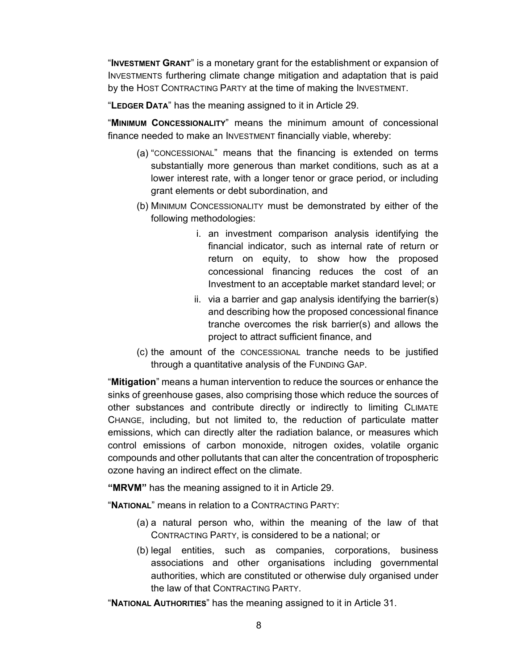"**INVESTMENT GRANT**" is a monetary grant for the establishment or expansion of INVESTMENTS furthering climate change mitigation and adaptation that is paid by the HOST CONTRACTING PARTY at the time of making the INVESTMENT.

"**LEDGER DATA**" has the meaning assigned to it in Article 29.

"**MINIMUM CONCESSIONALITY**" means the minimum amount of concessional finance needed to make an INVESTMENT financially viable, whereby:

- (a) "CONCESSIONAL" means that the financing is extended on terms substantially more generous than market conditions, such as at a lower interest rate, with a longer tenor or grace period, or including grant elements or debt subordination, and
- (b) MINIMUM CONCESSIONALITY must be demonstrated by either of the following methodologies:
	- i. an investment comparison analysis identifying the financial indicator, such as internal rate of return or return on equity, to show how the proposed concessional financing reduces the cost of an Investment to an acceptable market standard level; or
	- ii. via a barrier and gap analysis identifying the barrier(s) and describing how the proposed concessional finance tranche overcomes the risk barrier(s) and allows the project to attract sufficient finance, and
- (c) the amount of the CONCESSIONAL tranche needs to be justified through a quantitative analysis of the FUNDING GAP.

"**Mitigation**" means a human intervention to reduce the sources or enhance the sinks of greenhouse gases, also comprising those which reduce the sources of other substances and contribute directly or indirectly to limiting CLIMATE CHANGE, including, but not limited to, the reduction of particulate matter emissions, which can directly alter the radiation balance, or measures which control emissions of carbon monoxide, nitrogen oxides, volatile organic compounds and other pollutants that can alter the concentration of tropospheric ozone having an indirect effect on the climate.

**"MRVM"** has the meaning assigned to it in Article 29.

"**NATIONAL**" means in relation to a CONTRACTING PARTY:

- (a) a natural person who, within the meaning of the law of that CONTRACTING PARTY, is considered to be a national; or
- (b) legal entities, such as companies, corporations, business associations and other organisations including governmental authorities, which are constituted or otherwise duly organised under the law of that CONTRACTING PARTY.

"**NATIONAL AUTHORITIES**" has the meaning assigned to it in Article 31.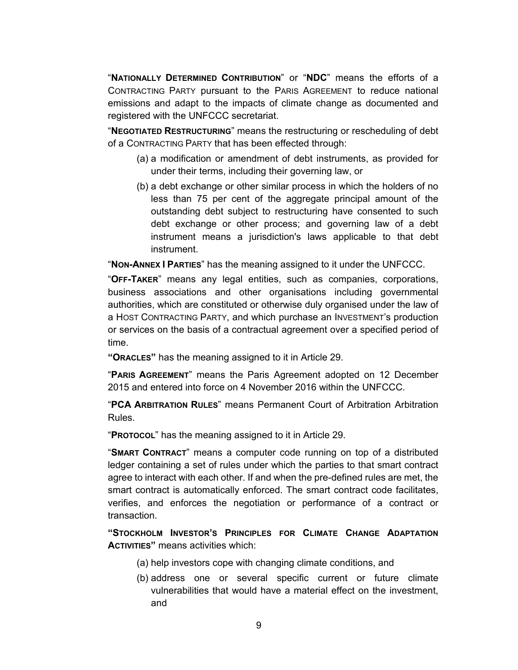"**NATIONALLY DETERMINED CONTRIBUTION**" or "**NDC**" means the efforts of a CONTRACTING PARTY pursuant to the PARIS AGREEMENT to reduce national emissions and adapt to the impacts of climate change as documented and registered with the UNFCCC secretariat.

"**NEGOTIATED RESTRUCTURING**" means the restructuring or rescheduling of debt of a CONTRACTING PARTY that has been effected through:

- (a) a modification or amendment of debt instruments, as provided for under their terms, including their governing law, or
- (b) a debt exchange or other similar process in which the holders of no less than 75 per cent of the aggregate principal amount of the outstanding debt subject to restructuring have consented to such debt exchange or other process; and governing law of a debt instrument means a jurisdiction's laws applicable to that debt instrument.

"**NON-ANNEX I PARTIES**" has the meaning assigned to it under the UNFCCC.

"**OFF-TAKER**" means any legal entities, such as companies, corporations, business associations and other organisations including governmental authorities, which are constituted or otherwise duly organised under the law of a HOST CONTRACTING PARTY, and which purchase an INVESTMENT's production or services on the basis of a contractual agreement over a specified period of time.

**"ORACLES"** has the meaning assigned to it in Article 29.

"**PARIS AGREEMENT**" means the Paris Agreement adopted on 12 December 2015 and entered into force on 4 November 2016 within the UNFCCC.

"**PCA ARBITRATION RULES**" means Permanent Court of Arbitration Arbitration Rules.

"**PROTOCOL**" has the meaning assigned to it in Article 29.

"**SMART CONTRACT**" means a computer code running on top of a distributed ledger containing a set of rules under which the parties to that smart contract agree to interact with each other. If and when the pre-defined rules are met, the smart contract is automatically enforced. The smart contract code facilitates, verifies, and enforces the negotiation or performance of a contract or transaction.

**"STOCKHOLM INVESTOR'S PRINCIPLES FOR CLIMATE CHANGE ADAPTATION ACTIVITIES"** means activities which:

- (a) help investors cope with changing climate conditions, and
- (b) address one or several specific current or future climate vulnerabilities that would have a material effect on the investment, and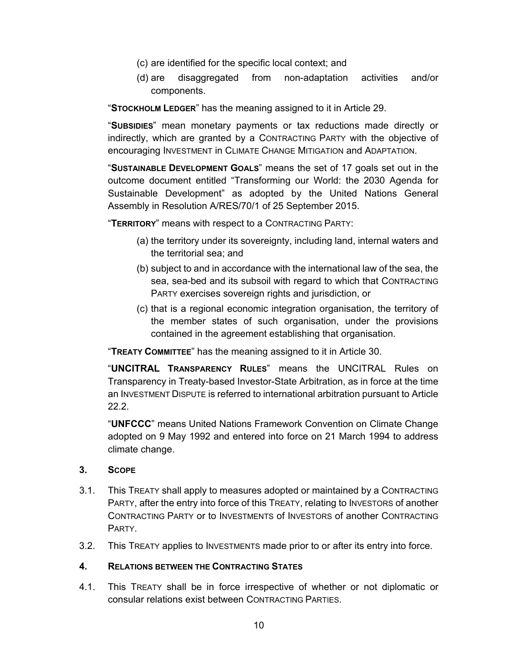- (c) are identified for the specific local context; and
- (d) are disaggregated from non-adaptation activities and/or components.

"**STOCKHOLM LEDGER**" has the meaning assigned to it in Article 29.

"**SUBSIDIES**" mean monetary payments or tax reductions made directly or indirectly, which are granted by a CONTRACTING PARTY with the objective of encouraging INVESTMENT in CLIMATE CHANGE MITIGATION and ADAPTATION.

"**SUSTAINABLE DEVELOPMENT GOALS**" means the set of 17 goals set out in the outcome document entitled "Transforming our World: the 2030 Agenda for Sustainable Development" as adopted by the United Nations General Assembly in Resolution A/RES/70/1 of 25 September 2015.

"**TERRITORY**" means with respect to a CONTRACTING PARTY:

- (a) the territory under its sovereignty, including land, internal waters and the territorial sea; and
- (b) subject to and in accordance with the international law of the sea, the sea, sea-bed and its subsoil with regard to which that CONTRACTING PARTY exercises sovereign rights and jurisdiction, or
- (c) that is a regional economic integration organisation, the territory of the member states of such organisation, under the provisions contained in the agreement establishing that organisation.

"**TREATY COMMITTEE**" has the meaning assigned to it in Article 30.

"**UNCITRAL TRANSPARENCY RULES**" means the UNCITRAL Rules on Transparency in Treaty-based Investor-State Arbitration, as in force at the time an INVESTMENT DISPUTE is referred to international arbitration pursuant to Article 22.2.

"**UNFCCC**" means United Nations Framework Convention on Climate Change adopted on 9 May 1992 and entered into force on 21 March 1994 to address climate change.

## **3. SCOPE**

- 3.1. This TREATY shall apply to measures adopted or maintained by a CONTRACTING PARTY, after the entry into force of this TREATY, relating to INVESTORS of another CONTRACTING PARTY or to INVESTMENTS of INVESTORS of another CONTRACTING PARTY.
- 3.2. This TREATY applies to INVESTMENTS made prior to or after its entry into force.

#### **4. RELATIONS BETWEEN THE CONTRACTING STATES**

4.1. This TREATY shall be in force irrespective of whether or not diplomatic or consular relations exist between CONTRACTING PARTIES.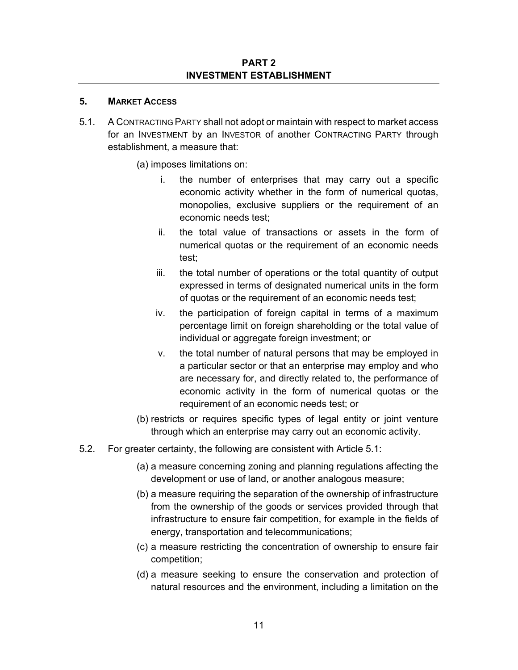#### **PART 2 INVESTMENT ESTABLISHMENT**

### **5. MARKET ACCESS**

- 5.1. A CONTRACTING PARTY shall not adopt or maintain with respect to market access for an INVESTMENT by an INVESTOR of another CONTRACTING PARTY through establishment, a measure that:
	- (a) imposes limitations on:
		- i. the number of enterprises that may carry out a specific economic activity whether in the form of numerical quotas, monopolies, exclusive suppliers or the requirement of an economic needs test;
		- ii. the total value of transactions or assets in the form of numerical quotas or the requirement of an economic needs test;
		- iii. the total number of operations or the total quantity of output expressed in terms of designated numerical units in the form of quotas or the requirement of an economic needs test;
		- iv. the participation of foreign capital in terms of a maximum percentage limit on foreign shareholding or the total value of individual or aggregate foreign investment; or
		- v. the total number of natural persons that may be employed in a particular sector or that an enterprise may employ and who are necessary for, and directly related to, the performance of economic activity in the form of numerical quotas or the requirement of an economic needs test; or
	- (b) restricts or requires specific types of legal entity or joint venture through which an enterprise may carry out an economic activity.
- 5.2. For greater certainty, the following are consistent with Article 5.1:
	- (a) a measure concerning zoning and planning regulations affecting the development or use of land, or another analogous measure;
	- (b) a measure requiring the separation of the ownership of infrastructure from the ownership of the goods or services provided through that infrastructure to ensure fair competition, for example in the fields of energy, transportation and telecommunications;
	- (c) a measure restricting the concentration of ownership to ensure fair competition;
	- (d) a measure seeking to ensure the conservation and protection of natural resources and the environment, including a limitation on the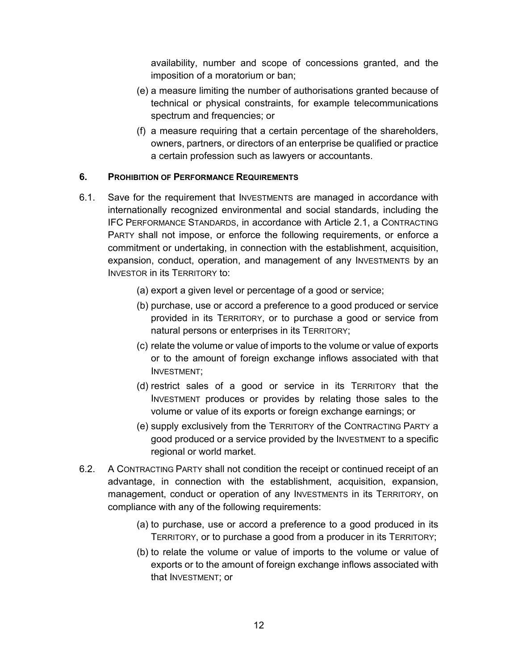availability, number and scope of concessions granted, and the imposition of a moratorium or ban;

- (e) a measure limiting the number of authorisations granted because of technical or physical constraints, for example telecommunications spectrum and frequencies; or
- (f) a measure requiring that a certain percentage of the shareholders, owners, partners, or directors of an enterprise be qualified or practice a certain profession such as lawyers or accountants.

## **6. PROHIBITION OF PERFORMANCE REQUIREMENTS**

- 6.1. Save for the requirement that INVESTMENTS are managed in accordance with internationally recognized environmental and social standards, including the IFC PERFORMANCE STANDARDS, in accordance with Article 2.1, a CONTRACTING PARTY shall not impose, or enforce the following requirements, or enforce a commitment or undertaking, in connection with the establishment, acquisition, expansion, conduct, operation, and management of any INVESTMENTS by an INVESTOR in its TERRITORY to:
	- (a) export a given level or percentage of a good or service;
	- (b) purchase, use or accord a preference to a good produced or service provided in its TERRITORY, or to purchase a good or service from natural persons or enterprises in its TERRITORY;
	- (c) relate the volume or value of imports to the volume or value of exports or to the amount of foreign exchange inflows associated with that INVESTMENT;
	- (d) restrict sales of a good or service in its TERRITORY that the INVESTMENT produces or provides by relating those sales to the volume or value of its exports or foreign exchange earnings; or
	- (e) supply exclusively from the TERRITORY of the CONTRACTING PARTY a good produced or a service provided by the INVESTMENT to a specific regional or world market.
- 6.2. A CONTRACTING PARTY shall not condition the receipt or continued receipt of an advantage, in connection with the establishment, acquisition, expansion, management, conduct or operation of any INVESTMENTS in its TERRITORY, on compliance with any of the following requirements:
	- (a) to purchase, use or accord a preference to a good produced in its TERRITORY, or to purchase a good from a producer in its TERRITORY;
	- (b) to relate the volume or value of imports to the volume or value of exports or to the amount of foreign exchange inflows associated with that INVESTMENT; or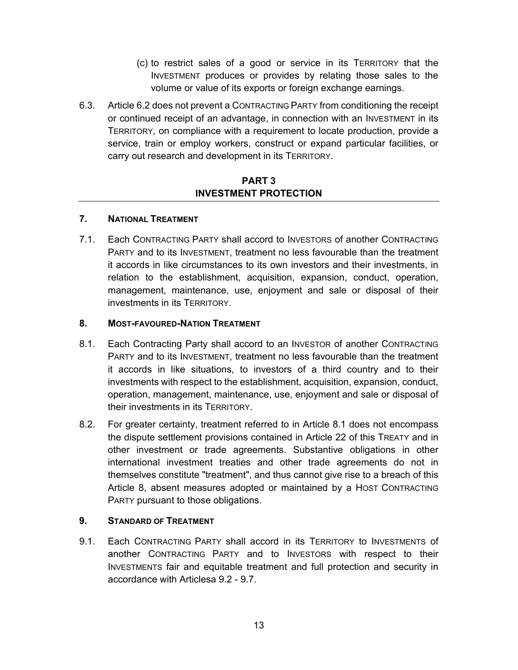- (c) to restrict sales of a good or service in its TERRITORY that the INVESTMENT produces or provides by relating those sales to the volume or value of its exports or foreign exchange earnings.
- 6.3. Article 6.2 does not prevent a CONTRACTING PARTY from conditioning the receipt or continued receipt of an advantage, in connection with an INVESTMENT in its TERRITORY, on compliance with a requirement to locate production, provide a service, train or employ workers, construct or expand particular facilities, or carry out research and development in its TERRITORY.

## **PART 3 INVESTMENT PROTECTION**

## **7. NATIONAL TREATMENT**

7.1. Each CONTRACTING PARTY shall accord to INVESTORS of another CONTRACTING PARTY and to its INVESTMENT, treatment no less favourable than the treatment it accords in like circumstances to its own investors and their investments, in relation to the establishment, acquisition, expansion, conduct, operation, management, maintenance, use, enjoyment and sale or disposal of their investments in its TERRITORY.

## **8. MOST-FAVOURED-NATION TREATMENT**

- 8.1. Each Contracting Party shall accord to an INVESTOR of another CONTRACTING PARTY and to its INVESTMENT, treatment no less favourable than the treatment it accords in like situations, to investors of a third country and to their investments with respect to the establishment, acquisition, expansion, conduct, operation, management, maintenance, use, enjoyment and sale or disposal of their investments in its TERRITORY.
- 8.2. For greater certainty, treatment referred to in Article 8.1 does not encompass the dispute settlement provisions contained in Article 22 of this TREATY and in other investment or trade agreements. Substantive obligations in other international investment treaties and other trade agreements do not in themselves constitute "treatment", and thus cannot give rise to a breach of this Article 8, absent measures adopted or maintained by a HOST CONTRACTING PARTY pursuant to those obligations.

## **9. STANDARD OF TREATMENT**

9.1. Each CONTRACTING PARTY shall accord in its TERRITORY to INVESTMENTS of another CONTRACTING PARTY and to INVESTORS with respect to their INVESTMENTS fair and equitable treatment and full protection and security in accordance with Articlesa 9.2 - 9.7.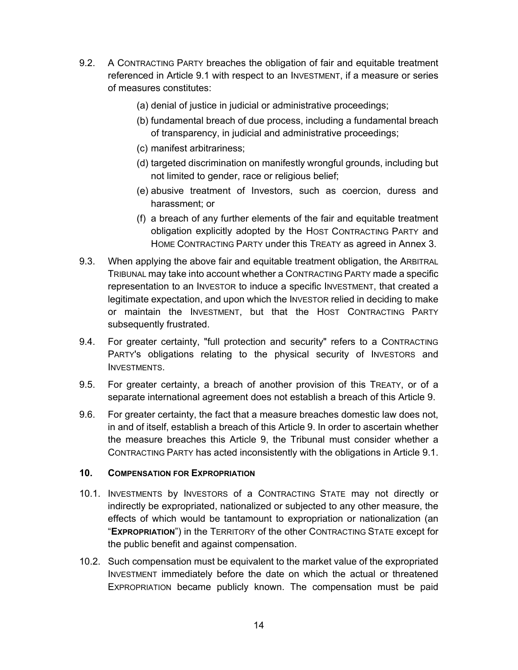- 9.2. A CONTRACTING PARTY breaches the obligation of fair and equitable treatment referenced in Article 9.1 with respect to an INVESTMENT, if a measure or series of measures constitutes:
	- (a) denial of justice in judicial or administrative proceedings;
	- (b) fundamental breach of due process, including a fundamental breach of transparency, in judicial and administrative proceedings;
	- (c) manifest arbitrariness;
	- (d) targeted discrimination on manifestly wrongful grounds, including but not limited to gender, race or religious belief;
	- (e) abusive treatment of Investors, such as coercion, duress and harassment; or
	- (f) a breach of any further elements of the fair and equitable treatment obligation explicitly adopted by the HOST CONTRACTING PARTY and HOME CONTRACTING PARTY under this TREATY as agreed in Annex 3.
- 9.3. When applying the above fair and equitable treatment obligation, the ARBITRAL TRIBUNAL may take into account whether a CONTRACTING PARTY made a specific representation to an INVESTOR to induce a specific INVESTMENT, that created a legitimate expectation, and upon which the INVESTOR relied in deciding to make or maintain the INVESTMENT, but that the HOST CONTRACTING PARTY subsequently frustrated.
- 9.4. For greater certainty, "full protection and security" refers to a CONTRACTING PARTY's obligations relating to the physical security of INVESTORS and INVESTMENTS.
- 9.5. For greater certainty, a breach of another provision of this TREATY, or of a separate international agreement does not establish a breach of this Article 9.
- 9.6. For greater certainty, the fact that a measure breaches domestic law does not, in and of itself, establish a breach of this Article 9. In order to ascertain whether the measure breaches this Article 9, the Tribunal must consider whether a CONTRACTING PARTY has acted inconsistently with the obligations in Article 9.1.

## **10. COMPENSATION FOR EXPROPRIATION**

- 10.1. INVESTMENTS by INVESTORS of a CONTRACTING STATE may not directly or indirectly be expropriated, nationalized or subjected to any other measure, the effects of which would be tantamount to expropriation or nationalization (an "**EXPROPRIATION**") in the TERRITORY of the other CONTRACTING STATE except for the public benefit and against compensation.
- 10.2. Such compensation must be equivalent to the market value of the expropriated INVESTMENT immediately before the date on which the actual or threatened EXPROPRIATION became publicly known. The compensation must be paid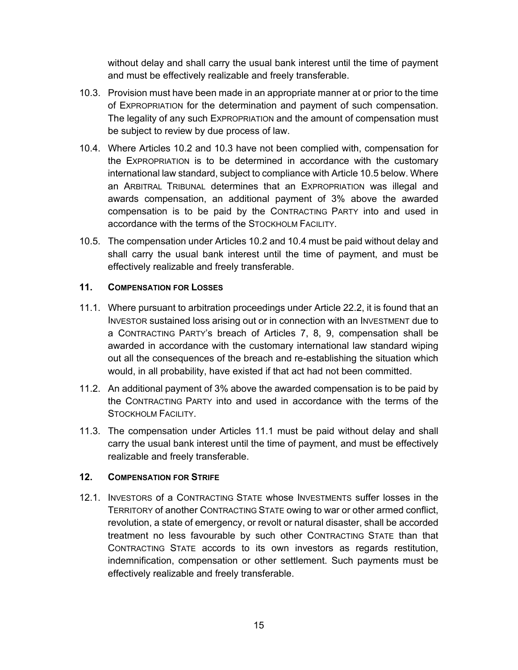without delay and shall carry the usual bank interest until the time of payment and must be effectively realizable and freely transferable.

- 10.3. Provision must have been made in an appropriate manner at or prior to the time of EXPROPRIATION for the determination and payment of such compensation. The legality of any such EXPROPRIATION and the amount of compensation must be subject to review by due process of law.
- 10.4. Where Articles 10.2 and 10.3 have not been complied with, compensation for the EXPROPRIATION is to be determined in accordance with the customary international law standard, subject to compliance with Article 10.5 below. Where an ARBITRAL TRIBUNAL determines that an EXPROPRIATION was illegal and awards compensation, an additional payment of 3% above the awarded compensation is to be paid by the CONTRACTING PARTY into and used in accordance with the terms of the STOCKHOLM FACILITY.
- 10.5. The compensation under Articles 10.2 and 10.4 must be paid without delay and shall carry the usual bank interest until the time of payment, and must be effectively realizable and freely transferable.

## **11. COMPENSATION FOR LOSSES**

- 11.1. Where pursuant to arbitration proceedings under Article 22.2, it is found that an INVESTOR sustained loss arising out or in connection with an INVESTMENT due to a CONTRACTING PARTY's breach of Articles 7, 8, 9, compensation shall be awarded in accordance with the customary international law standard wiping out all the consequences of the breach and re-establishing the situation which would, in all probability, have existed if that act had not been committed.
- 11.2. An additional payment of 3% above the awarded compensation is to be paid by the CONTRACTING PARTY into and used in accordance with the terms of the STOCKHOLM FACILITY.
- 11.3. The compensation under Articles 11.1 must be paid without delay and shall carry the usual bank interest until the time of payment, and must be effectively realizable and freely transferable.

## **12. COMPENSATION FOR STRIFE**

12.1. INVESTORS of a CONTRACTING STATE whose INVESTMENTS suffer losses in the TERRITORY of another CONTRACTING STATE owing to war or other armed conflict, revolution, a state of emergency, or revolt or natural disaster, shall be accorded treatment no less favourable by such other CONTRACTING STATE than that CONTRACTING STATE accords to its own investors as regards restitution, indemnification, compensation or other settlement. Such payments must be effectively realizable and freely transferable.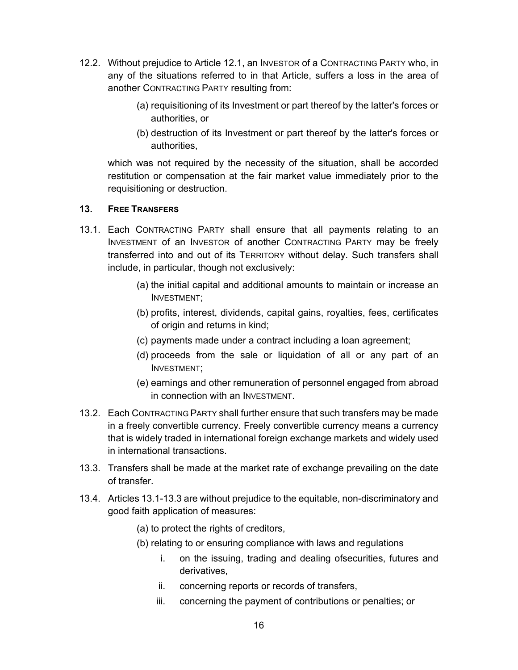- 12.2. Without prejudice to Article 12.1, an INVESTOR of a CONTRACTING PARTY who, in any of the situations referred to in that Article, suffers a loss in the area of another CONTRACTING PARTY resulting from:
	- (a) requisitioning of its Investment or part thereof by the latter's forces or authorities, or
	- (b) destruction of its Investment or part thereof by the latter's forces or authorities,

which was not required by the necessity of the situation, shall be accorded restitution or compensation at the fair market value immediately prior to the requisitioning or destruction.

## **13. FREE TRANSFERS**

- 13.1. Each CONTRACTING PARTY shall ensure that all payments relating to an INVESTMENT of an INVESTOR of another CONTRACTING PARTY may be freely transferred into and out of its TERRITORY without delay. Such transfers shall include, in particular, though not exclusively:
	- (a) the initial capital and additional amounts to maintain or increase an INVESTMENT;
	- (b) profits, interest, dividends, capital gains, royalties, fees, certificates of origin and returns in kind;
	- (c) payments made under a contract including a loan agreement;
	- (d) proceeds from the sale or liquidation of all or any part of an INVESTMENT;
	- (e) earnings and other remuneration of personnel engaged from abroad in connection with an INVESTMENT.
- 13.2. Each CONTRACTING PARTY shall further ensure that such transfers may be made in a freely convertible currency. Freely convertible currency means a currency that is widely traded in international foreign exchange markets and widely used in international transactions.
- 13.3. Transfers shall be made at the market rate of exchange prevailing on the date of transfer.
- 13.4. Articles 13.1-13.3 are without prejudice to the equitable, non-discriminatory and good faith application of measures:
	- (a) to protect the rights of creditors,
	- (b) relating to or ensuring compliance with laws and regulations
		- i. on the issuing, trading and dealing ofsecurities, futures and derivatives,
		- ii. concerning reports or records of transfers,
		- iii. concerning the payment of contributions or penalties; or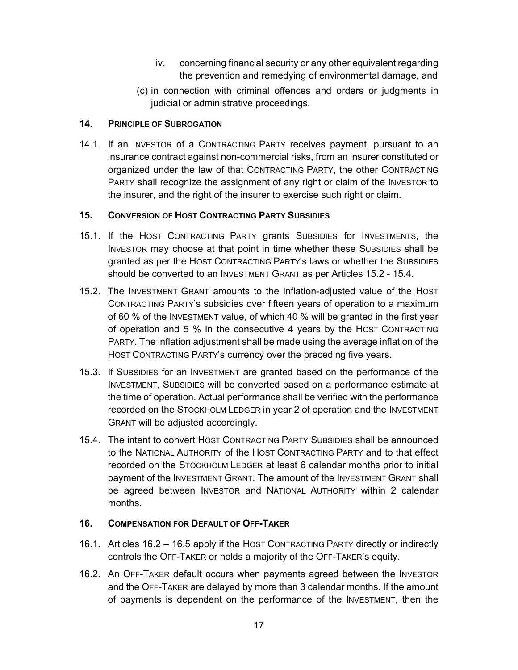- iv. concerning financial security or any other equivalent regarding the prevention and remedying of environmental damage, and
- (c) in connection with criminal offences and orders or judgments in judicial or administrative proceedings.

### **14. PRINCIPLE OF SUBROGATION**

14.1. If an INVESTOR of a CONTRACTING PARTY receives payment, pursuant to an insurance contract against non-commercial risks, from an insurer constituted or organized under the law of that CONTRACTING PARTY, the other CONTRACTING PARTY shall recognize the assignment of any right or claim of the INVESTOR to the insurer, and the right of the insurer to exercise such right or claim.

### **15. CONVERSION OF HOST CONTRACTING PARTY SUBSIDIES**

- 15.1. If the HOST CONTRACTING PARTY grants SUBSIDIES for INVESTMENTS, the INVESTOR may choose at that point in time whether these SUBSIDIES shall be granted as per the HOST CONTRACTING PARTY's laws or whether the SUBSIDIES should be converted to an INVESTMENT GRANT as per Articles 15.2 - 15.4.
- 15.2. The INVESTMENT GRANT amounts to the inflation-adjusted value of the HOST CONTRACTING PARTY's subsidies over fifteen years of operation to a maximum of 60 % of the INVESTMENT value, of which 40 % will be granted in the first year of operation and 5 % in the consecutive 4 years by the HOST CONTRACTING PARTY. The inflation adjustment shall be made using the average inflation of the HOST CONTRACTING PARTY's currency over the preceding five years.
- 15.3. If SUBSIDIES for an INVESTMENT are granted based on the performance of the INVESTMENT, SUBSIDIES will be converted based on a performance estimate at the time of operation. Actual performance shall be verified with the performance recorded on the STOCKHOLM LEDGER in year 2 of operation and the INVESTMENT GRANT will be adjusted accordingly.
- 15.4. The intent to convert HOST CONTRACTING PARTY SUBSIDIES shall be announced to the NATIONAL AUTHORITY of the HOST CONTRACTING PARTY and to that effect recorded on the STOCKHOLM LEDGER at least 6 calendar months prior to initial payment of the INVESTMENT GRANT. The amount of the INVESTMENT GRANT shall be agreed between INVESTOR and NATIONAL AUTHORITY within 2 calendar months.

## **16. COMPENSATION FOR DEFAULT OF OFF-TAKER**

- 16.1. Articles 16.2 16.5 apply if the HOST CONTRACTING PARTY directly or indirectly controls the OFF-TAKER or holds a majority of the OFF-TAKER's equity.
- 16.2. An OFF-TAKER default occurs when payments agreed between the INVESTOR and the OFF-TAKER are delayed by more than 3 calendar months. If the amount of payments is dependent on the performance of the INVESTMENT, then the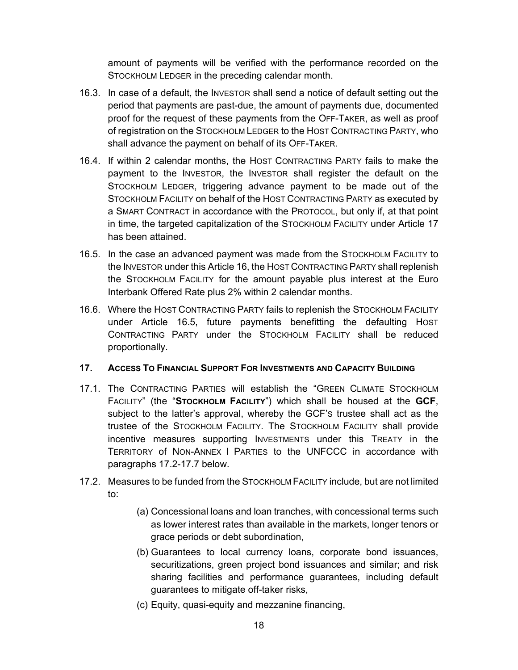amount of payments will be verified with the performance recorded on the STOCKHOLM LEDGER in the preceding calendar month.

- 16.3. In case of a default, the INVESTOR shall send a notice of default setting out the period that payments are past-due, the amount of payments due, documented proof for the request of these payments from the OFF-TAKER, as well as proof of registration on the STOCKHOLM LEDGER to the HOST CONTRACTING PARTY, who shall advance the payment on behalf of its OFF-TAKER.
- 16.4. If within 2 calendar months, the HOST CONTRACTING PARTY fails to make the payment to the INVESTOR, the INVESTOR shall register the default on the STOCKHOLM LEDGER, triggering advance payment to be made out of the STOCKHOLM FACILITY on behalf of the HOST CONTRACTING PARTY as executed by a SMART CONTRACT in accordance with the PROTOCOL, but only if, at that point in time, the targeted capitalization of the STOCKHOLM FACILITY under Article 17 has been attained.
- 16.5. In the case an advanced payment was made from the STOCKHOLM FACILITY to the INVESTOR under this Article 16, the HOST CONTRACTING PARTY shall replenish the STOCKHOLM FACILITY for the amount payable plus interest at the Euro Interbank Offered Rate plus 2% within 2 calendar months.
- 16.6. Where the HOST CONTRACTING PARTY fails to replenish the STOCKHOLM FACILITY under Article 16.5, future payments benefitting the defaulting HOST CONTRACTING PARTY under the STOCKHOLM FACILITY shall be reduced proportionally.

#### **17. ACCESS TO FINANCIAL SUPPORT FOR INVESTMENTS AND CAPACITY BUILDING**

- 17.1. The CONTRACTING PARTIES will establish the "GREEN CLIMATE STOCKHOLM FACILITY" (the "**STOCKHOLM FACILITY**") which shall be housed at the **GCF**, subject to the latter's approval, whereby the GCF'S trustee shall act as the trustee of the STOCKHOLM FACILITY. The STOCKHOLM FACILITY shall provide incentive measures supporting INVESTMENTS under this TREATY in the TERRITORY of NON-ANNEX I PARTIES to the UNFCCC in accordance with paragraphs 17.2-17.7 below.
- 17.2. Measures to be funded from the STOCKHOLM FACILITY include, but are not limited to:
	- (a) Concessional loans and loan tranches, with concessional terms such as lower interest rates than available in the markets, longer tenors or grace periods or debt subordination,
	- (b) Guarantees to local currency loans, corporate bond issuances, securitizations, green project bond issuances and similar; and risk sharing facilities and performance guarantees, including default guarantees to mitigate off-taker risks,
	- (c) Equity, quasi-equity and mezzanine financing,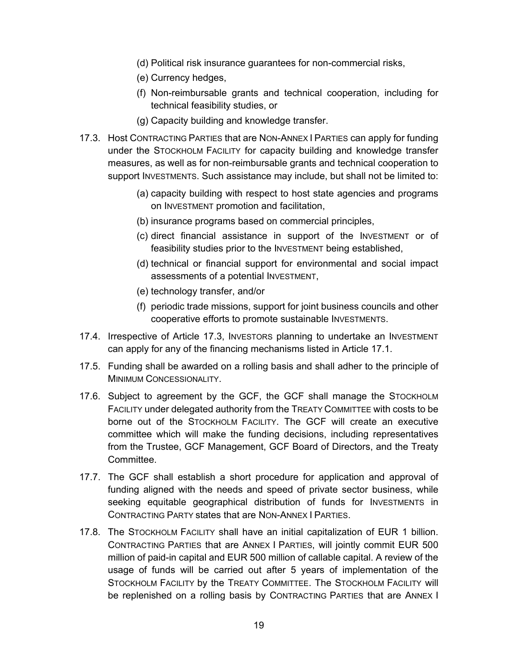- (d) Political risk insurance guarantees for non-commercial risks,
- (e) Currency hedges,
- (f) Non-reimbursable grants and technical cooperation, including for technical feasibility studies, or
- (g) Capacity building and knowledge transfer.
- 17.3. Host CONTRACTING PARTIES that are NON-ANNEX I PARTIES can apply for funding under the STOCKHOLM FACILITY for capacity building and knowledge transfer measures, as well as for non-reimbursable grants and technical cooperation to support INVESTMENTS. Such assistance may include, but shall not be limited to:
	- (a) capacity building with respect to host state agencies and programs on INVESTMENT promotion and facilitation,
	- (b) insurance programs based on commercial principles,
	- (c) direct financial assistance in support of the INVESTMENT or of feasibility studies prior to the INVESTMENT being established,
	- (d) technical or financial support for environmental and social impact assessments of a potential INVESTMENT,
	- (e) technology transfer, and/or
	- (f) periodic trade missions, support for joint business councils and other cooperative efforts to promote sustainable INVESTMENTS.
- 17.4. Irrespective of Article 17.3, INVESTORS planning to undertake an INVESTMENT can apply for any of the financing mechanisms listed in Article 17.1.
- 17.5. Funding shall be awarded on a rolling basis and shall adher to the principle of MINIMUM CONCESSIONALITY.
- 17.6. Subject to agreement by the GCF, the GCF shall manage the STOCKHOLM FACILITY under delegated authority from the TREATY COMMITTEE with costs to be borne out of the STOCKHOLM FACILITY. The GCF will create an executive committee which will make the funding decisions, including representatives from the Trustee, GCF Management, GCF Board of Directors, and the Treaty Committee.
- 17.7. The GCF shall establish a short procedure for application and approval of funding aligned with the needs and speed of private sector business, while seeking equitable geographical distribution of funds for INVESTMENTS in CONTRACTING PARTY states that are NON-ANNEX I PARTIES.
- 17.8. The STOCKHOLM FACILITY shall have an initial capitalization of EUR 1 billion. CONTRACTING PARTIES that are ANNEX I PARTIES, will jointly commit EUR 500 million of paid-in capital and EUR 500 million of callable capital. A review of the usage of funds will be carried out after 5 years of implementation of the STOCKHOLM FACILITY by the TREATY COMMITTEE. The STOCKHOLM FACILITY will be replenished on a rolling basis by CONTRACTING PARTIES that are ANNEX I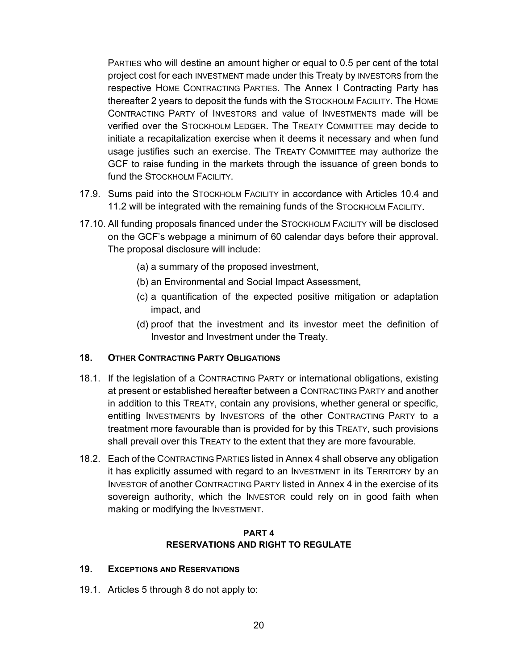PARTIES who will destine an amount higher or equal to 0.5 per cent of the total project cost for each INVESTMENT made under this Treaty by INVESTORS from the respective HOME CONTRACTING PARTIES. The Annex I Contracting Party has thereafter 2 years to deposit the funds with the STOCKHOLM FACILITY. The HOME CONTRACTING PARTY of INVESTORS and value of INVESTMENTS made will be verified over the STOCKHOLM LEDGER. The TREATY COMMITTEE may decide to initiate a recapitalization exercise when it deems it necessary and when fund usage justifies such an exercise. The TREATY COMMITTEE may authorize the GCF to raise funding in the markets through the issuance of green bonds to fund the STOCKHOLM FACILITY.

- 17.9. Sums paid into the STOCKHOLM FACILITY in accordance with Articles 10.4 and 11.2 will be integrated with the remaining funds of the STOCKHOLM FACILITY.
- 17.10. All funding proposals financed under the STOCKHOLM FACILITY will be disclosed on the GCF's webpage a minimum of 60 calendar days before their approval. The proposal disclosure will include:
	- (a) a summary of the proposed investment,
	- (b) an Environmental and Social Impact Assessment,
	- (c) a quantification of the expected positive mitigation or adaptation impact, and
	- (d) proof that the investment and its investor meet the definition of Investor and Investment under the Treaty.

#### **18. OTHER CONTRACTING PARTY OBLIGATIONS**

- 18.1. If the legislation of a CONTRACTING PARTY or international obligations, existing at present or established hereafter between a CONTRACTING PARTY and another in addition to this TREATY, contain any provisions, whether general or specific, entitling INVESTMENTS by INVESTORS of the other CONTRACTING PARTY to a treatment more favourable than is provided for by this TREATY, such provisions shall prevail over this TREATY to the extent that they are more favourable.
- 18.2. Each of the CONTRACTING PARTIES listed in Annex 4 shall observe any obligation it has explicitly assumed with regard to an INVESTMENT in its TERRITORY by an INVESTOR of another CONTRACTING PARTY listed in Annex 4 in the exercise of its sovereign authority, which the INVESTOR could rely on in good faith when making or modifying the INVESTMENT.

#### **PART 4 RESERVATIONS AND RIGHT TO REGULATE**

#### **19. EXCEPTIONS AND RESERVATIONS**

19.1. Articles 5 through 8 do not apply to: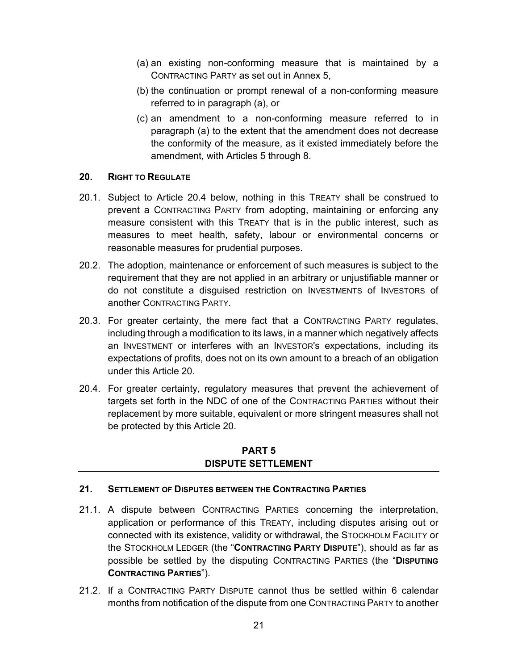- (a) an existing non-conforming measure that is maintained by a CONTRACTING PARTY as set out in Annex 5,
- (b) the continuation or prompt renewal of a non-conforming measure referred to in paragraph (a), or
- (c) an amendment to a non-conforming measure referred to in paragraph (a) to the extent that the amendment does not decrease the conformity of the measure, as it existed immediately before the amendment, with Articles 5 through 8.

### **20. RIGHT TO REGULATE**

- 20.1. Subject to Article 20.4 below, nothing in this TREATY shall be construed to prevent a CONTRACTING PARTY from adopting, maintaining or enforcing any measure consistent with this TREATY that is in the public interest, such as measures to meet health, safety, labour or environmental concerns or reasonable measures for prudential purposes.
- 20.2. The adoption, maintenance or enforcement of such measures is subject to the requirement that they are not applied in an arbitrary or unjustifiable manner or do not constitute a disguised restriction on INVESTMENTS of INVESTORS of another CONTRACTING PARTY.
- 20.3. For greater certainty, the mere fact that a CONTRACTING PARTY regulates, including through a modification to its laws, in a manner which negatively affects an INVESTMENT or interferes with an INVESTOR's expectations, including its expectations of profits, does not on its own amount to a breach of an obligation under this Article 20.
- 20.4. For greater certainty, regulatory measures that prevent the achievement of targets set forth in the NDC of one of the CONTRACTING PARTIES without their replacement by more suitable, equivalent or more stringent measures shall not be protected by this Article 20.

### **PART 5 DISPUTE SETTLEMENT**

## **21. SETTLEMENT OF DISPUTES BETWEEN THE CONTRACTING PARTIES**

- 21.1. A dispute between CONTRACTING PARTIES concerning the interpretation, application or performance of this TREATY, including disputes arising out or connected with its existence, validity or withdrawal, the STOCKHOLM FACILITY or the STOCKHOLM LEDGER (the "**CONTRACTING PARTY DISPUTE**"), should as far as possible be settled by the disputing CONTRACTING PARTIES (the "**DISPUTING CONTRACTING PARTIES**").
- 21.2. If a CONTRACTING PARTY DISPUTE cannot thus be settled within 6 calendar months from notification of the dispute from one CONTRACTING PARTY to another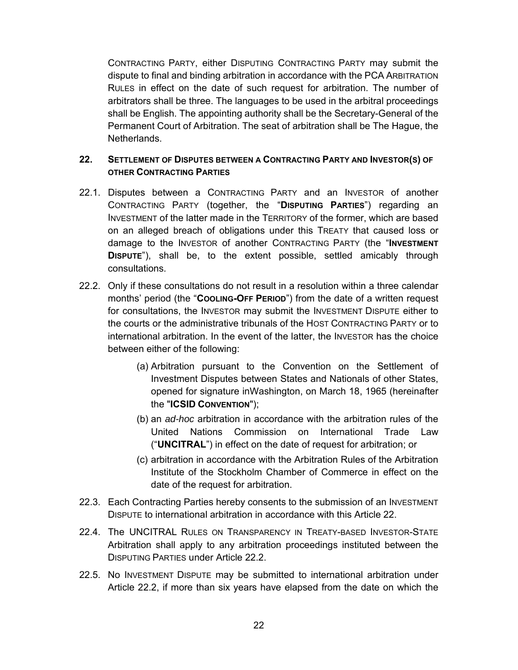CONTRACTING PARTY, either DISPUTING CONTRACTING PARTY may submit the dispute to final and binding arbitration in accordance with the PCA ARBITRATION RULES in effect on the date of such request for arbitration. The number of arbitrators shall be three. The languages to be used in the arbitral proceedings shall be English. The appointing authority shall be the Secretary-General of the Permanent Court of Arbitration. The seat of arbitration shall be The Hague, the Netherlands.

## **22. SETTLEMENT OF DISPUTES BETWEEN A CONTRACTING PARTY AND INVESTOR(S) OF OTHER CONTRACTING PARTIES**

- 22.1. Disputes between a CONTRACTING PARTY and an INVESTOR of another CONTRACTING PARTY (together, the "**DISPUTING PARTIES**") regarding an INVESTMENT of the latter made in the TERRITORY of the former, which are based on an alleged breach of obligations under this TREATY that caused loss or damage to the INVESTOR of another CONTRACTING PARTY (the "**INVESTMENT DISPUTE**"), shall be, to the extent possible, settled amicably through consultations.
- 22.2. Only if these consultations do not result in a resolution within a three calendar months' period (the "**COOLING-OFF PERIOD**") from the date of a written request for consultations, the INVESTOR may submit the INVESTMENT DISPUTE either to the courts or the administrative tribunals of the HOST CONTRACTING PARTY or to international arbitration. In the event of the latter, the INVESTOR has the choice between either of the following:
	- (a) Arbitration pursuant to the Convention on the Settlement of Investment Disputes between States and Nationals of other States, opened for signature inWashington, on March 18, 1965 (hereinafter the "**ICSID CONVENTION**");
	- (b) an *ad-hoc* arbitration in accordance with the arbitration rules of the United Nations Commission on International Trade Law ("**UNCITRAL**") in effect on the date of request for arbitration; or
	- (c) arbitration in accordance with the Arbitration Rules of the Arbitration Institute of the Stockholm Chamber of Commerce in effect on the date of the request for arbitration.
- 22.3. Each Contracting Parties hereby consents to the submission of an INVESTMENT DISPUTE to international arbitration in accordance with this Article 22.
- 22.4. The UNCITRAL RULES ON TRANSPARENCY IN TREATY-BASED INVESTOR-STATE Arbitration shall apply to any arbitration proceedings instituted between the DISPUTING PARTIES under Article 22.2.
- 22.5. No INVESTMENT DISPUTE may be submitted to international arbitration under Article 22.2, if more than six years have elapsed from the date on which the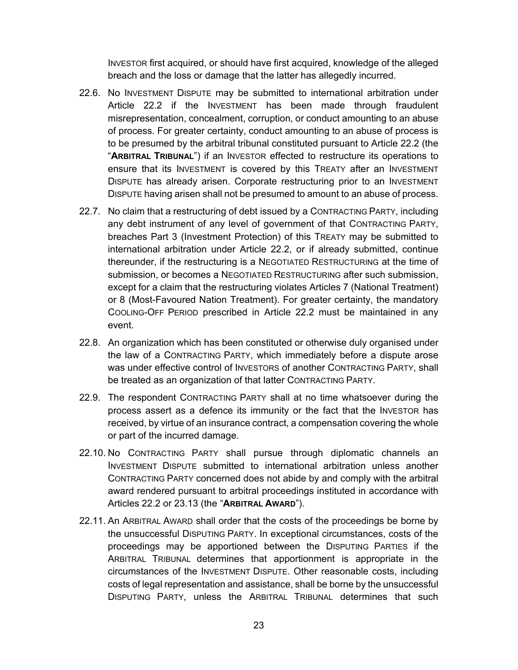INVESTOR first acquired, or should have first acquired, knowledge of the alleged breach and the loss or damage that the latter has allegedly incurred.

- 22.6. No INVESTMENT DISPUTE may be submitted to international arbitration under Article 22.2 if the INVESTMENT has been made through fraudulent misrepresentation, concealment, corruption, or conduct amounting to an abuse of process. For greater certainty, conduct amounting to an abuse of process is to be presumed by the arbitral tribunal constituted pursuant to Article 22.2 (the "**ARBITRAL TRIBUNAL**") if an INVESTOR effected to restructure its operations to ensure that its INVESTMENT is covered by this TREATY after an INVESTMENT DISPUTE has already arisen. Corporate restructuring prior to an INVESTMENT DISPUTE having arisen shall not be presumed to amount to an abuse of process.
- 22.7. No claim that a restructuring of debt issued by a CONTRACTING PARTY, including any debt instrument of any level of government of that CONTRACTING PARTY, breaches Part 3 (Investment Protection) of this TREATY may be submitted to international arbitration under Article 22.2, or if already submitted, continue thereunder, if the restructuring is a NEGOTIATED RESTRUCTURING at the time of submission, or becomes a NEGOTIATED RESTRUCTURING after such submission, except for a claim that the restructuring violates Articles 7 (National Treatment) or 8 (Most-Favoured Nation Treatment). For greater certainty, the mandatory COOLING-OFF PERIOD prescribed in Article 22.2 must be maintained in any event.
- 22.8. An organization which has been constituted or otherwise duly organised under the law of a CONTRACTING PARTY, which immediately before a dispute arose was under effective control of INVESTORS of another CONTRACTING PARTY, shall be treated as an organization of that latter CONTRACTING PARTY.
- 22.9. The respondent CONTRACTING PARTY shall at no time whatsoever during the process assert as a defence its immunity or the fact that the INVESTOR has received, by virtue of an insurance contract, a compensation covering the whole or part of the incurred damage.
- 22.10. No CONTRACTING PARTY shall pursue through diplomatic channels an INVESTMENT DISPUTE submitted to international arbitration unless another CONTRACTING PARTY concerned does not abide by and comply with the arbitral award rendered pursuant to arbitral proceedings instituted in accordance with Articles 22.2 or 23.13 (the "**ARBITRAL AWARD**").
- 22.11. An ARBITRAL AWARD shall order that the costs of the proceedings be borne by the unsuccessful DISPUTING PARTY. In exceptional circumstances, costs of the proceedings may be apportioned between the DISPUTING PARTIES if the ARBITRAL TRIBUNAL determines that apportionment is appropriate in the circumstances of the INVESTMENT DISPUTE. Other reasonable costs, including costs of legal representation and assistance, shall be borne by the unsuccessful DISPUTING PARTY, unless the ARBITRAL TRIBUNAL determines that such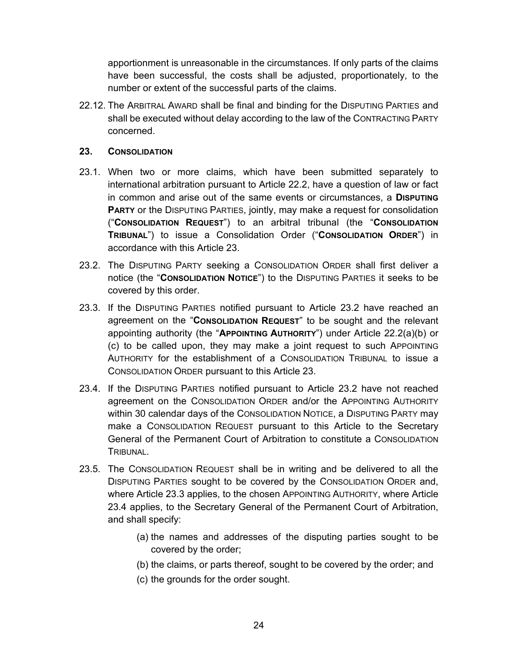apportionment is unreasonable in the circumstances. If only parts of the claims have been successful, the costs shall be adjusted, proportionately, to the number or extent of the successful parts of the claims.

22.12. The ARBITRAL AWARD shall be final and binding for the DISPUTING PARTIES and shall be executed without delay according to the law of the CONTRACTING PARTY concerned.

#### **23. CONSOLIDATION**

- 23.1. When two or more claims, which have been submitted separately to international arbitration pursuant to Article 22.2, have a question of law or fact in common and arise out of the same events or circumstances, a **DISPUTING PARTY** or the DISPUTING PARTIES, jointly, may make a request for consolidation ("**CONSOLIDATION REQUEST**") to an arbitral tribunal (the "**CONSOLIDATION TRIBUNAL**") to issue a Consolidation Order ("**CONSOLIDATION ORDER**") in accordance with this Article 23.
- 23.2. The DISPUTING PARTY seeking a CONSOLIDATION ORDER shall first deliver a notice (the "**CONSOLIDATION NOTICE**") to the DISPUTING PARTIES it seeks to be covered by this order.
- 23.3. If the DISPUTING PARTIES notified pursuant to Article 23.2 have reached an agreement on the "**CONSOLIDATION REQUEST**" to be sought and the relevant appointing authority (the "**APPOINTING AUTHORITY**") under Article 22.2(a)(b) or (c) to be called upon, they may make a joint request to such APPOINTING AUTHORITY for the establishment of a CONSOLIDATION TRIBUNAL to issue a CONSOLIDATION ORDER pursuant to this Article 23.
- 23.4. If the DISPUTING PARTIES notified pursuant to Article 23.2 have not reached agreement on the CONSOLIDATION ORDER and/or the APPOINTING AUTHORITY within 30 calendar days of the CONSOLIDATION NOTICE, a DISPUTING PARTY may make a CONSOLIDATION REQUEST pursuant to this Article to the Secretary General of the Permanent Court of Arbitration to constitute a CONSOLIDATION TRIBUNAL.
- 23.5. The CONSOLIDATION REQUEST shall be in writing and be delivered to all the DISPUTING PARTIES sought to be covered by the CONSOLIDATION ORDER and, where Article 23.3 applies, to the chosen APPOINTING AUTHORITY, where Article 23.4 applies, to the Secretary General of the Permanent Court of Arbitration, and shall specify:
	- (a) the names and addresses of the disputing parties sought to be covered by the order;
	- (b) the claims, or parts thereof, sought to be covered by the order; and
	- (c) the grounds for the order sought.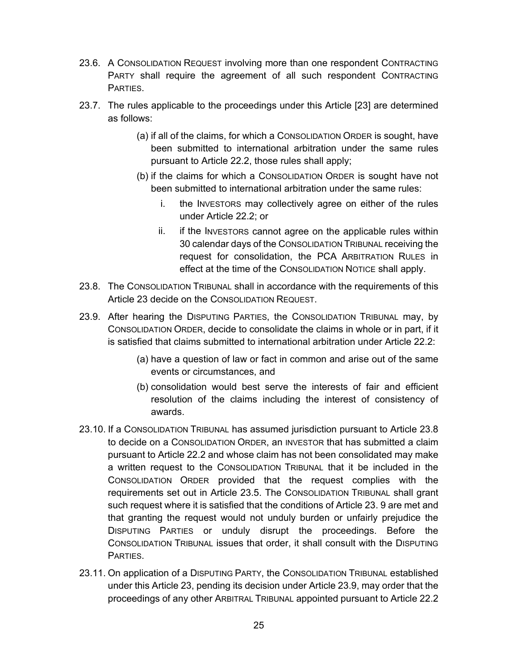- 23.6. A CONSOLIDATION REQUEST involving more than one respondent CONTRACTING PARTY shall require the agreement of all such respondent CONTRACTING PARTIES.
- 23.7. The rules applicable to the proceedings under this Article [23] are determined as follows:
	- (a) if all of the claims, for which a CONSOLIDATION ORDER is sought, have been submitted to international arbitration under the same rules pursuant to Article 22.2, those rules shall apply;
	- (b) if the claims for which a CONSOLIDATION ORDER is sought have not been submitted to international arbitration under the same rules:
		- i. the INVESTORS may collectively agree on either of the rules under Article 22.2; or
		- ii. if the INVESTORS cannot agree on the applicable rules within 30 calendar days of the CONSOLIDATION TRIBUNAL receiving the request for consolidation, the PCA ARBITRATION RULES in effect at the time of the CONSOLIDATION NOTICE shall apply.
- 23.8. The CONSOLIDATION TRIBUNAL shall in accordance with the requirements of this Article 23 decide on the CONSOLIDATION REQUEST.
- 23.9. After hearing the DISPUTING PARTIES, the CONSOLIDATION TRIBUNAL may, by CONSOLIDATION ORDER, decide to consolidate the claims in whole or in part, if it is satisfied that claims submitted to international arbitration under Article 22.2:
	- (a) have a question of law or fact in common and arise out of the same events or circumstances, and
	- (b) consolidation would best serve the interests of fair and efficient resolution of the claims including the interest of consistency of awards.
- 23.10. If a CONSOLIDATION TRIBUNAL has assumed jurisdiction pursuant to Article 23.8 to decide on a CONSOLIDATION ORDER, an INVESTOR that has submitted a claim pursuant to Article 22.2 and whose claim has not been consolidated may make a written request to the CONSOLIDATION TRIBUNAL that it be included in the CONSOLIDATION ORDER provided that the request complies with the requirements set out in Article 23.5. The CONSOLIDATION TRIBUNAL shall grant such request where it is satisfied that the conditions of Article 23. 9 are met and that granting the request would not unduly burden or unfairly prejudice the DISPUTING PARTIES or unduly disrupt the proceedings. Before the CONSOLIDATION TRIBUNAL issues that order, it shall consult with the DISPUTING PARTIES.
- 23.11. On application of a DISPUTING PARTY, the CONSOLIDATION TRIBUNAL established under this Article 23, pending its decision under Article 23.9, may order that the proceedings of any other ARBITRAL TRIBUNAL appointed pursuant to Article 22.2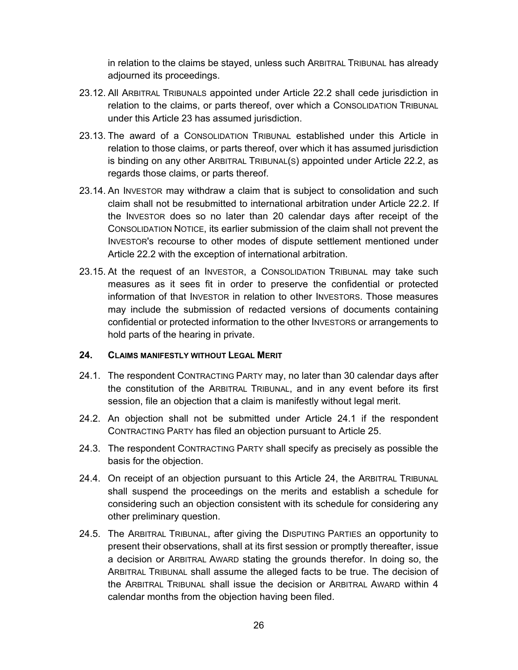in relation to the claims be stayed, unless such ARBITRAL TRIBUNAL has already adjourned its proceedings.

- 23.12. All ARBITRAL TRIBUNALS appointed under Article 22.2 shall cede jurisdiction in relation to the claims, or parts thereof, over which a CONSOLIDATION TRIBUNAL under this Article 23 has assumed jurisdiction.
- 23.13. The award of a CONSOLIDATION TRIBUNAL established under this Article in relation to those claims, or parts thereof, over which it has assumed jurisdiction is binding on any other ARBITRAL TRIBUNAL(S) appointed under Article 22.2, as regards those claims, or parts thereof.
- 23.14. An INVESTOR may withdraw a claim that is subject to consolidation and such claim shall not be resubmitted to international arbitration under Article 22.2. If the INVESTOR does so no later than 20 calendar days after receipt of the CONSOLIDATION NOTICE, its earlier submission of the claim shall not prevent the INVESTOR's recourse to other modes of dispute settlement mentioned under Article 22.2 with the exception of international arbitration.
- 23.15. At the request of an INVESTOR, a CONSOLIDATION TRIBUNAL may take such measures as it sees fit in order to preserve the confidential or protected information of that INVESTOR in relation to other INVESTORS. Those measures may include the submission of redacted versions of documents containing confidential or protected information to the other INVESTORS or arrangements to hold parts of the hearing in private.

#### **24. CLAIMS MANIFESTLY WITHOUT LEGAL MERIT**

- 24.1. The respondent CONTRACTING PARTY may, no later than 30 calendar days after the constitution of the ARBITRAL TRIBUNAL, and in any event before its first session, file an objection that a claim is manifestly without legal merit.
- 24.2. An objection shall not be submitted under Article 24.1 if the respondent CONTRACTING PARTY has filed an objection pursuant to Article 25.
- 24.3. The respondent CONTRACTING PARTY shall specify as precisely as possible the basis for the objection.
- 24.4. On receipt of an objection pursuant to this Article 24, the ARBITRAL TRIBUNAL shall suspend the proceedings on the merits and establish a schedule for considering such an objection consistent with its schedule for considering any other preliminary question.
- 24.5. The ARBITRAL TRIBUNAL, after giving the DISPUTING PARTIES an opportunity to present their observations, shall at its first session or promptly thereafter, issue a decision or ARBITRAL AWARD stating the grounds therefor. In doing so, the ARBITRAL TRIBUNAL shall assume the alleged facts to be true. The decision of the ARBITRAL TRIBUNAL shall issue the decision or ARBITRAL AWARD within 4 calendar months from the objection having been filed.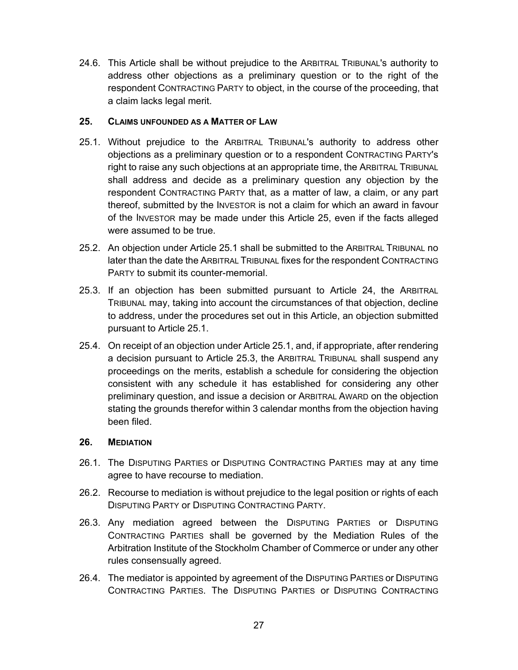24.6. This Article shall be without prejudice to the ARBITRAL TRIBUNAL's authority to address other objections as a preliminary question or to the right of the respondent CONTRACTING PARTY to object, in the course of the proceeding, that a claim lacks legal merit.

## **25. CLAIMS UNFOUNDED AS A MATTER OF LAW**

- 25.1. Without prejudice to the ARBITRAL TRIBUNAL's authority to address other objections as a preliminary question or to a respondent CONTRACTING PARTY's right to raise any such objections at an appropriate time, the ARBITRAL TRIBUNAL shall address and decide as a preliminary question any objection by the respondent CONTRACTING PARTY that, as a matter of law, a claim, or any part thereof, submitted by the INVESTOR is not a claim for which an award in favour of the INVESTOR may be made under this Article 25, even if the facts alleged were assumed to be true.
- 25.2. An objection under Article 25.1 shall be submitted to the ARBITRAL TRIBUNAL no later than the date the ARBITRAL TRIBUNAL fixes for the respondent CONTRACTING PARTY to submit its counter-memorial.
- 25.3. If an objection has been submitted pursuant to Article 24, the ARBITRAL TRIBUNAL may, taking into account the circumstances of that objection, decline to address, under the procedures set out in this Article, an objection submitted pursuant to Article 25.1.
- 25.4. On receipt of an objection under Article 25.1, and, if appropriate, after rendering a decision pursuant to Article 25.3, the ARBITRAL TRIBUNAL shall suspend any proceedings on the merits, establish a schedule for considering the objection consistent with any schedule it has established for considering any other preliminary question, and issue a decision or ARBITRAL AWARD on the objection stating the grounds therefor within 3 calendar months from the objection having been filed.

#### **26. MEDIATION**

- 26.1. The DISPUTING PARTIES or DISPUTING CONTRACTING PARTIES may at any time agree to have recourse to mediation.
- 26.2. Recourse to mediation is without prejudice to the legal position or rights of each DISPUTING PARTY or DISPUTING CONTRACTING PARTY.
- 26.3. Any mediation agreed between the DISPUTING PARTIES or DISPUTING CONTRACTING PARTIES shall be governed by the Mediation Rules of the Arbitration Institute of the Stockholm Chamber of Commerce or under any other rules consensually agreed.
- 26.4. The mediator is appointed by agreement of the DISPUTING PARTIES or DISPUTING CONTRACTING PARTIES. The DISPUTING PARTIES or DISPUTING CONTRACTING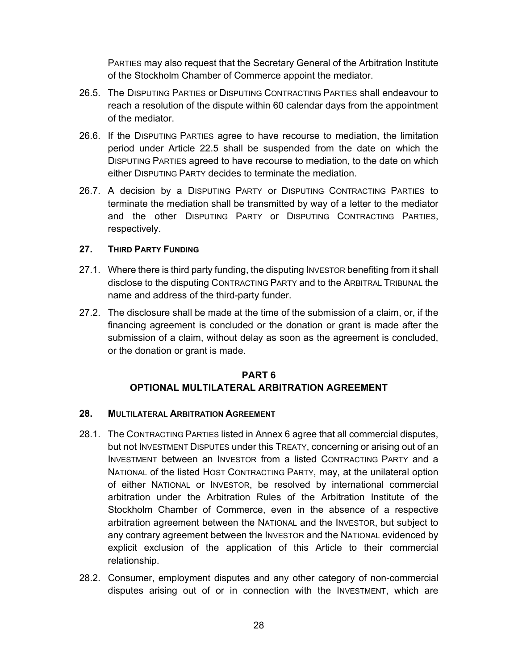PARTIES may also request that the Secretary General of the Arbitration Institute of the Stockholm Chamber of Commerce appoint the mediator.

- 26.5. The DISPUTING PARTIES or DISPUTING CONTRACTING PARTIES shall endeavour to reach a resolution of the dispute within 60 calendar days from the appointment of the mediator.
- 26.6. If the DISPUTING PARTIES agree to have recourse to mediation, the limitation period under Article 22.5 shall be suspended from the date on which the DISPUTING PARTIES agreed to have recourse to mediation, to the date on which either DISPUTING PARTY decides to terminate the mediation.
- 26.7. A decision by a DISPUTING PARTY or DISPUTING CONTRACTING PARTIES to terminate the mediation shall be transmitted by way of a letter to the mediator and the other DISPUTING PARTY or DISPUTING CONTRACTING PARTIES, respectively.

### **27. THIRD PARTY FUNDING**

- 27.1. Where there is third party funding, the disputing INVESTOR benefiting from it shall disclose to the disputing CONTRACTING PARTY and to the ARBITRAL TRIBUNAL the name and address of the third-party funder.
- 27.2. The disclosure shall be made at the time of the submission of a claim, or, if the financing agreement is concluded or the donation or grant is made after the submission of a claim, without delay as soon as the agreement is concluded, or the donation or grant is made.

## **PART 6 OPTIONAL MULTILATERAL ARBITRATION AGREEMENT**

#### **28. MULTILATERAL ARBITRATION AGREEMENT**

- 28.1. The CONTRACTING PARTIES listed in Annex 6 agree that all commercial disputes, but not INVESTMENT DISPUTES under this TREATY, concerning or arising out of an INVESTMENT between an INVESTOR from a listed CONTRACTING PARTY and a NATIONAL of the listed HOST CONTRACTING PARTY, may, at the unilateral option of either NATIONAL or INVESTOR, be resolved by international commercial arbitration under the Arbitration Rules of the Arbitration Institute of the Stockholm Chamber of Commerce, even in the absence of a respective arbitration agreement between the NATIONAL and the INVESTOR, but subject to any contrary agreement between the INVESTOR and the NATIONAL evidenced by explicit exclusion of the application of this Article to their commercial relationship.
- 28.2. Consumer, employment disputes and any other category of non-commercial disputes arising out of or in connection with the INVESTMENT, which are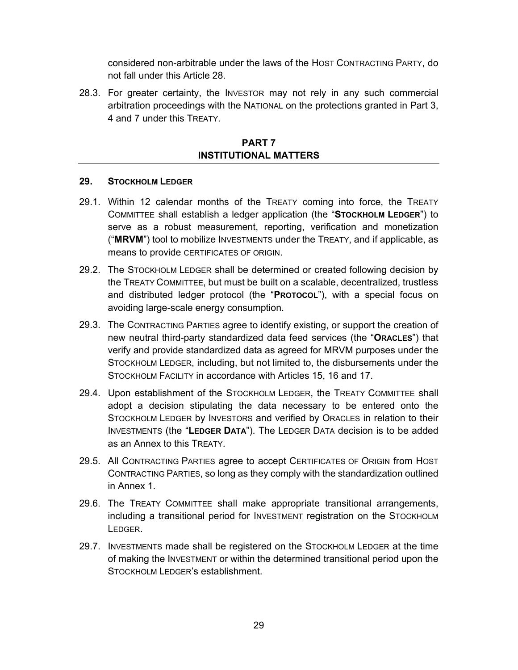considered non-arbitrable under the laws of the HOST CONTRACTING PARTY, do not fall under this Article 28.

28.3. For greater certainty, the INVESTOR may not rely in any such commercial arbitration proceedings with the NATIONAL on the protections granted in Part 3, 4 and 7 under this TREATY.

### **PART 7 INSTITUTIONAL MATTERS**

#### **29. STOCKHOLM LEDGER**

- 29.1. Within 12 calendar months of the TREATY coming into force, the TREATY COMMITTEE shall establish a ledger application (the "**STOCKHOLM LEDGER**") to serve as a robust measurement, reporting, verification and monetization ("**MRVM**") tool to mobilize INVESTMENTS under the TREATY, and if applicable, as means to provide CERTIFICATES OF ORIGIN.
- 29.2. The STOCKHOLM LEDGER shall be determined or created following decision by the TREATY COMMITTEE, but must be built on a scalable, decentralized, trustless and distributed ledger protocol (the "**PROTOCOL**"), with a special focus on avoiding large-scale energy consumption.
- 29.3. The CONTRACTING PARTIES agree to identify existing, or support the creation of new neutral third-party standardized data feed services (the "**ORACLES**") that verify and provide standardized data as agreed for MRVM purposes under the STOCKHOLM LEDGER, including, but not limited to, the disbursements under the STOCKHOLM FACILITY in accordance with Articles 15, 16 and 17.
- 29.4. Upon establishment of the STOCKHOLM LEDGER, the TREATY COMMITTEE shall adopt a decision stipulating the data necessary to be entered onto the STOCKHOLM LEDGER by INVESTORS and verified by ORACLES in relation to their INVESTMENTS (the "**LEDGER DATA**"). The LEDGER DATA decision is to be added as an Annex to this TREATY.
- 29.5. All CONTRACTING PARTIES agree to accept CERTIFICATES OF ORIGIN from HOST CONTRACTING PARTIES, so long as they comply with the standardization outlined in Annex 1.
- 29.6. The TREATY COMMITTEE shall make appropriate transitional arrangements, including a transitional period for INVESTMENT registration on the STOCKHOLM LEDGER.
- 29.7. INVESTMENTS made shall be registered on the STOCKHOLM LEDGER at the time of making the INVESTMENT or within the determined transitional period upon the STOCKHOLM LEDGER's establishment.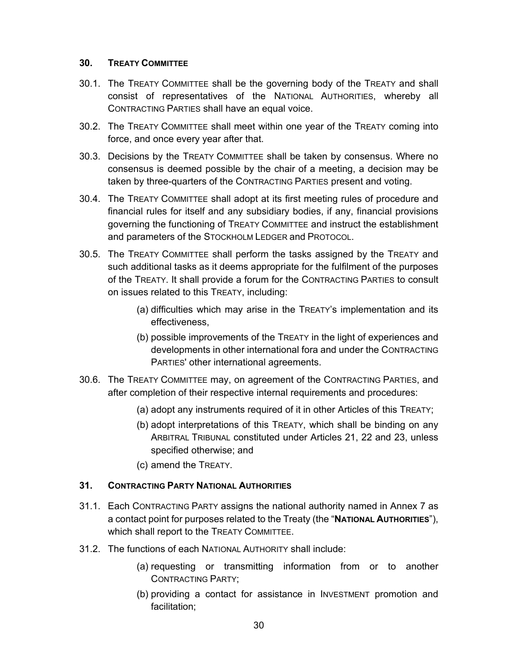### **30. TREATY COMMITTEE**

- 30.1. The TREATY COMMITTEE shall be the governing body of the TREATY and shall consist of representatives of the NATIONAL AUTHORITIES, whereby all CONTRACTING PARTIES shall have an equal voice.
- 30.2. The TREATY COMMITTEE shall meet within one year of the TREATY coming into force, and once every year after that.
- 30.3. Decisions by the TREATY COMMITTEE shall be taken by consensus. Where no consensus is deemed possible by the chair of a meeting, a decision may be taken by three-quarters of the CONTRACTING PARTIES present and voting.
- 30.4. The TREATY COMMITTEE shall adopt at its first meeting rules of procedure and financial rules for itself and any subsidiary bodies, if any, financial provisions governing the functioning of TREATY COMMITTEE and instruct the establishment and parameters of the STOCKHOLM LEDGER and PROTOCOL.
- 30.5. The TREATY COMMITTEE shall perform the tasks assigned by the TREATY and such additional tasks as it deems appropriate for the fulfilment of the purposes of the TREATY. It shall provide a forum for the CONTRACTING PARTIES to consult on issues related to this TREATY, including:
	- (a) difficulties which may arise in the TREATY's implementation and its effectiveness,
	- (b) possible improvements of the TREATY in the light of experiences and developments in other international fora and under the CONTRACTING PARTIES' other international agreements.
- 30.6. The TREATY COMMITTEE may, on agreement of the CONTRACTING PARTIES, and after completion of their respective internal requirements and procedures:
	- (a) adopt any instruments required of it in other Articles of this TREATY;
	- (b) adopt interpretations of this TREATY, which shall be binding on any ARBITRAL TRIBUNAL constituted under Articles 21, 22 and 23, unless specified otherwise; and
	- (c) amend the TREATY.

## **31. CONTRACTING PARTY NATIONAL AUTHORITIES**

- 31.1. Each CONTRACTING PARTY assigns the national authority named in Annex 7 as a contact point for purposes related to the Treaty (the "**NATIONAL AUTHORITIES**"), which shall report to the TREATY COMMITTEE.
- 31.2. The functions of each NATIONAL AUTHORITY shall include:
	- (a) requesting or transmitting information from or to another CONTRACTING PARTY;
	- (b) providing a contact for assistance in INVESTMENT promotion and facilitation;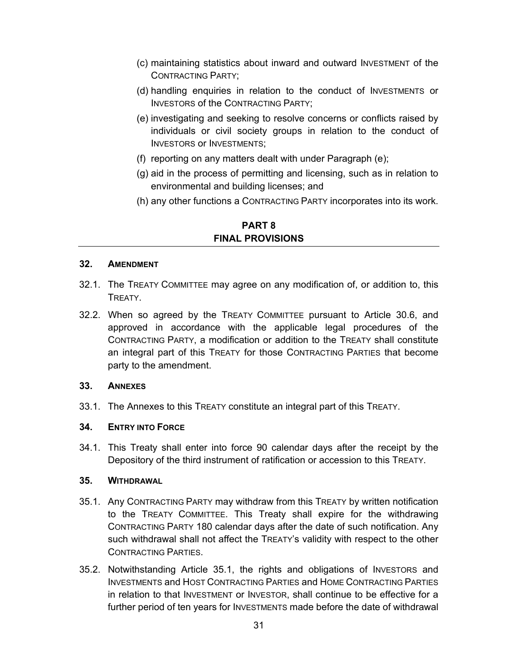- (c) maintaining statistics about inward and outward INVESTMENT of the CONTRACTING PARTY;
- (d) handling enquiries in relation to the conduct of INVESTMENTS or INVESTORS of the CONTRACTING PARTY;
- (e) investigating and seeking to resolve concerns or conflicts raised by individuals or civil society groups in relation to the conduct of INVESTORS or INVESTMENTS;
- (f) reporting on any matters dealt with under Paragraph (e);
- (g) aid in the process of permitting and licensing, such as in relation to environmental and building licenses; and
- (h) any other functions a CONTRACTING PARTY incorporates into its work.

### **PART 8 FINAL PROVISIONS**

#### **32. AMENDMENT**

- 32.1. The TREATY COMMITTEE may agree on any modification of, or addition to, this TREATY.
- 32.2. When so agreed by the TREATY COMMITTEE pursuant to Article 30.6, and approved in accordance with the applicable legal procedures of the CONTRACTING PARTY, a modification or addition to the TREATY shall constitute an integral part of this TREATY for those CONTRACTING PARTIES that become party to the amendment.

#### **33. ANNEXES**

33.1. The Annexes to this TREATY constitute an integral part of this TREATY.

## **34. ENTRY INTO FORCE**

34.1. This Treaty shall enter into force 90 calendar days after the receipt by the Depository of the third instrument of ratification or accession to this TREATY.

#### **35. WITHDRAWAL**

- 35.1. Any CONTRACTING PARTY may withdraw from this TREATY by written notification to the TREATY COMMITTEE. This Treaty shall expire for the withdrawing CONTRACTING PARTY 180 calendar days after the date of such notification. Any such withdrawal shall not affect the TREATY's validity with respect to the other CONTRACTING PARTIES.
- 35.2. Notwithstanding Article 35.1, the rights and obligations of INVESTORS and INVESTMENTS and HOST CONTRACTING PARTIES and HOME CONTRACTING PARTIES in relation to that INVESTMENT or INVESTOR, shall continue to be effective for a further period of ten years for INVESTMENTS made before the date of withdrawal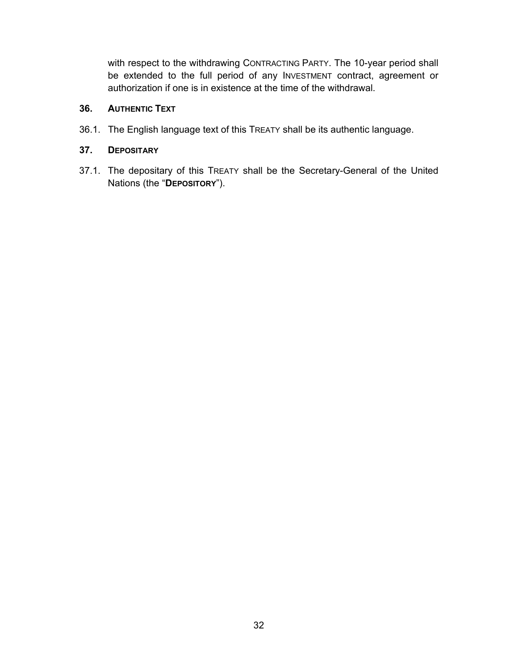with respect to the withdrawing CONTRACTING PARTY. The 10-year period shall be extended to the full period of any INVESTMENT contract, agreement or authorization if one is in existence at the time of the withdrawal.

## **36. AUTHENTIC TEXT**

36.1. The English language text of this TREATY shall be its authentic language.

# **37. DEPOSITARY**

37.1. The depositary of this TREATY shall be the Secretary-General of the United Nations (the "**DEPOSITORY**").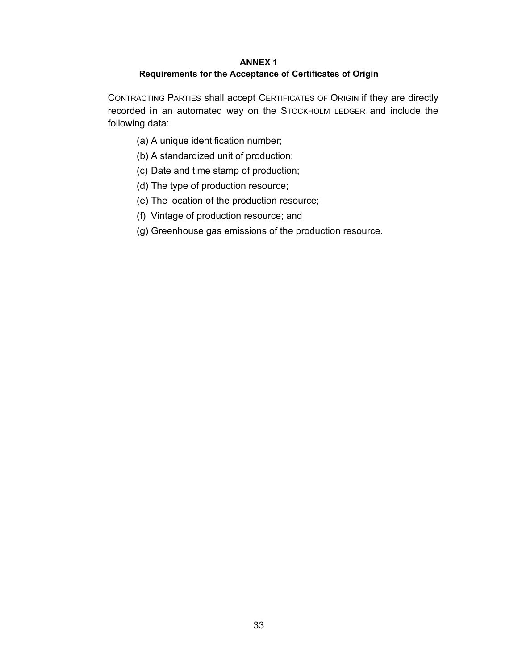#### **ANNEX 1 Requirements for the Acceptance of Certificates of Origin**

CONTRACTING PARTIES shall accept CERTIFICATES OF ORIGIN if they are directly recorded in an automated way on the STOCKHOLM LEDGER and include the following data:

- (a) A unique identification number;
- (b) A standardized unit of production;
- (c) Date and time stamp of production;
- (d) The type of production resource;
- (e) The location of the production resource;
- (f) Vintage of production resource; and
- (g) Greenhouse gas emissions of the production resource.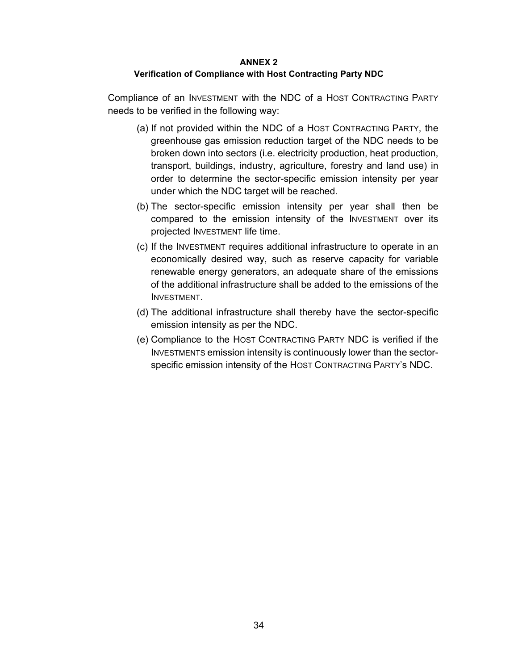#### **ANNEX 2**

#### **Verification of Compliance with Host Contracting Party NDC**

Compliance of an INVESTMENT with the NDC of a HOST CONTRACTING PARTY needs to be verified in the following way:

- (a) If not provided within the NDC of a HOST CONTRACTING PARTY, the greenhouse gas emission reduction target of the NDC needs to be broken down into sectors (i.e. electricity production, heat production, transport, buildings, industry, agriculture, forestry and land use) in order to determine the sector-specific emission intensity per year under which the NDC target will be reached.
- (b) The sector-specific emission intensity per year shall then be compared to the emission intensity of the INVESTMENT over its projected INVESTMENT life time.
- (c) If the INVESTMENT requires additional infrastructure to operate in an economically desired way, such as reserve capacity for variable renewable energy generators, an adequate share of the emissions of the additional infrastructure shall be added to the emissions of the INVESTMENT.
- (d) The additional infrastructure shall thereby have the sector-specific emission intensity as per the NDC.
- (e) Compliance to the HOST CONTRACTING PARTY NDC is verified if the INVESTMENTS emission intensity is continuously lower than the sectorspecific emission intensity of the HOST CONTRACTING PARTY's NDC.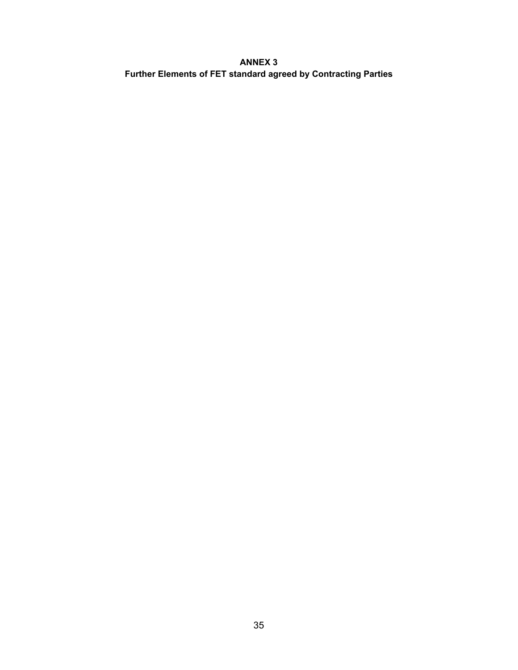## **ANNEX 3 Further Elements of FET standard agreed by Contracting Parties**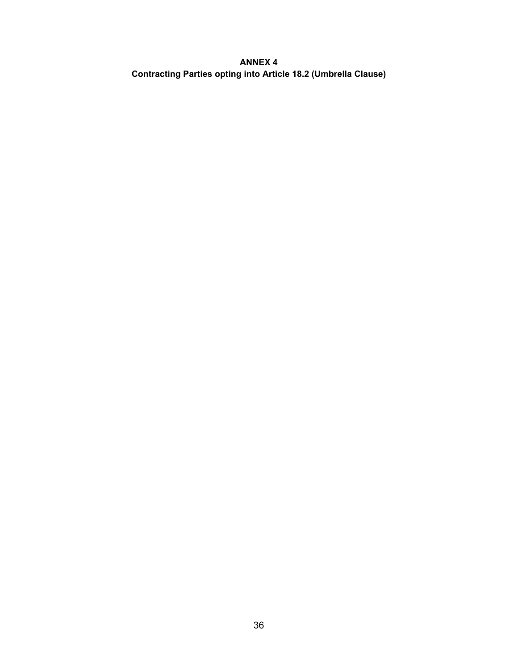## **ANNEX 4 Contracting Parties opting into Article 18.2 (Umbrella Clause)**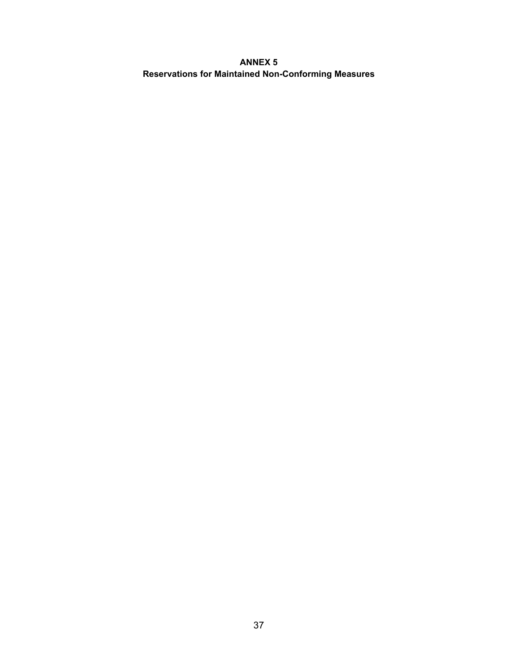### **ANNEX 5 Reservations for Maintained Non-Conforming Measures**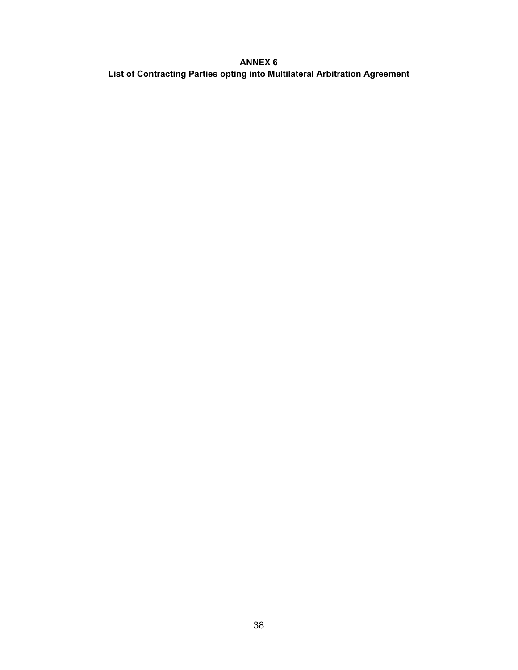## **ANNEX 6 List of Contracting Parties opting into Multilateral Arbitration Agreement**